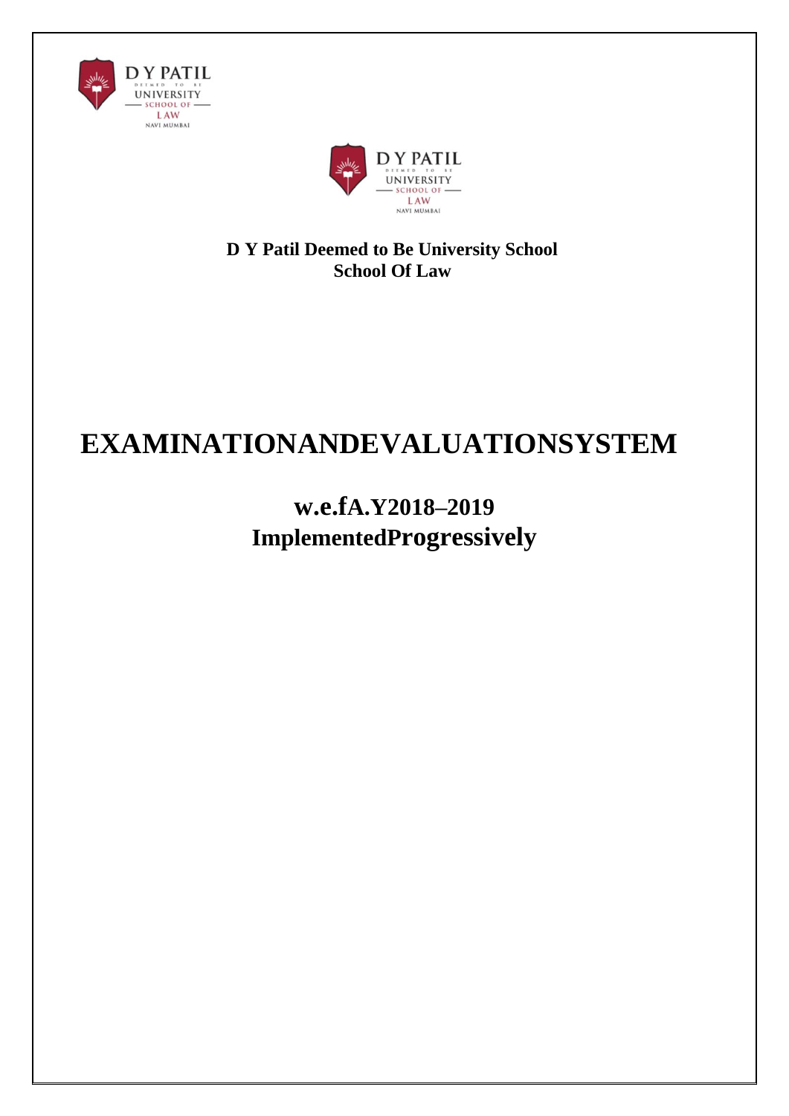



**D Y Patil Deemed to Be University School School Of Law**

# **EXAMINATIONANDEVALUATIONSYSTEM**

**w.e.fA.Y2018–2019 ImplementedProgressively**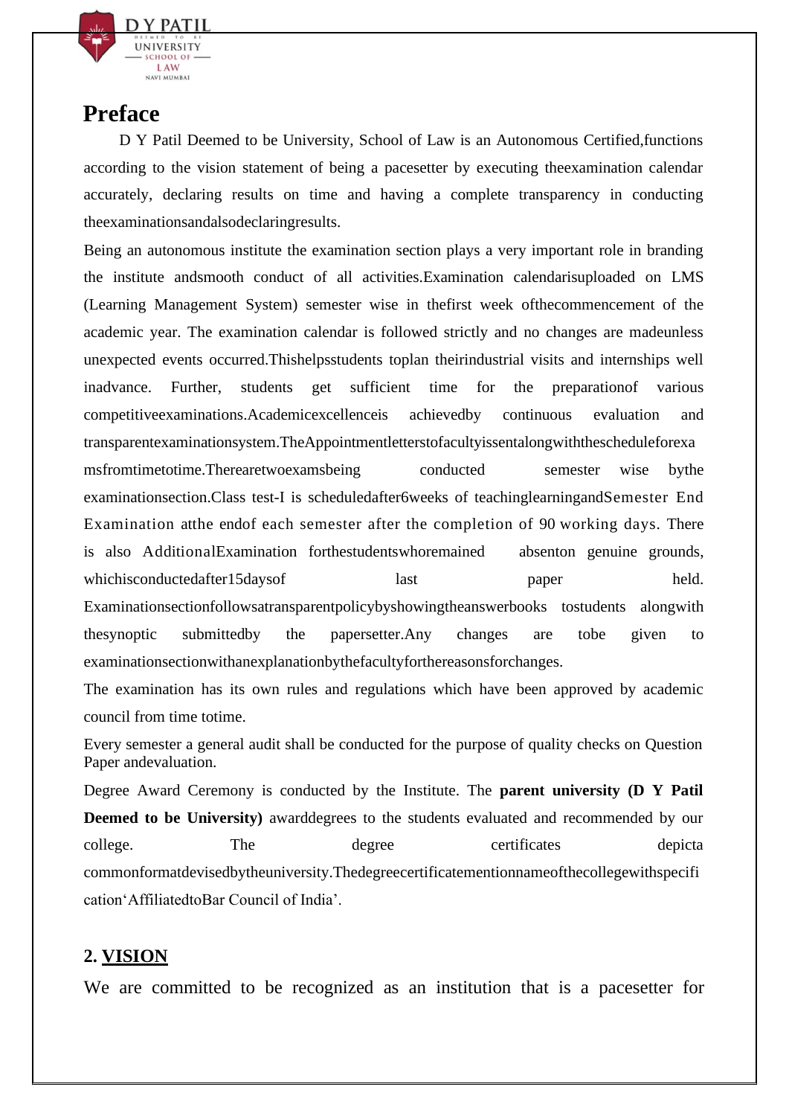

## **Preface**

D Y Patil Deemed to be University, School of Law is an Autonomous Certified,functions according to the vision statement of being a pacesetter by executing theexamination calendar accurately, declaring results on time and having a complete transparency in conducting theexaminationsandalsodeclaringresults.

Being an autonomous institute the examination section plays a very important role in branding the institute andsmooth conduct of all activities.Examination calendarisuploaded on LMS (Learning Management System) semester wise in thefirst week ofthecommencement of the academic year. The examination calendar is followed strictly and no changes are madeunless unexpected events occurred.Thishelpsstudents toplan theirindustrial visits and internships well inadvance. Further, students get sufficient time for the preparationof various competitiveexaminations.Academicexcellenceis achievedby continuous evaluation and transparentexaminationsystem.TheAppointmentletterstofacultyissentalongwiththescheduleforexa msfromtimetotime.Therearetwoexamsbeing conducted semester wise bythe examinationsection.Class test-I is scheduledafter6weeks of teachinglearningandSemester End Examination atthe endof each semester after the completion of 90 working days. There is also AdditionalExamination forthestudentswhoremained absenton genuine grounds, whichisconductedafter15daysof last paper held. Examinationsectionfollowsatransparentpolicybyshowingtheanswerbooks tostudents alongwith thesynoptic submittedby the papersetter.Any changes are tobe given to examinationsectionwithanexplanationbythefacultyforthereasonsforchanges.

The examination has its own rules and regulations which have been approved by academic council from time totime.

Every semester a general audit shall be conducted for the purpose of quality checks on Question Paper andevaluation.

Degree Award Ceremony is conducted by the Institute. The **parent university (D Y Patil Deemed to be University)** awarddegrees to the students evaluated and recommended by our college. The degree certificates depicta commonformatdevisedbytheuniversity.Thedegreecertificatementionnameofthecollegewithspecifi cation'AffiliatedtoBar Council of India'.

## **2. [VISION](http://www.spce.ac.in/ExaminationDepartment.aspx)**

We are committed to be recognized as an institution that is a pacesetter for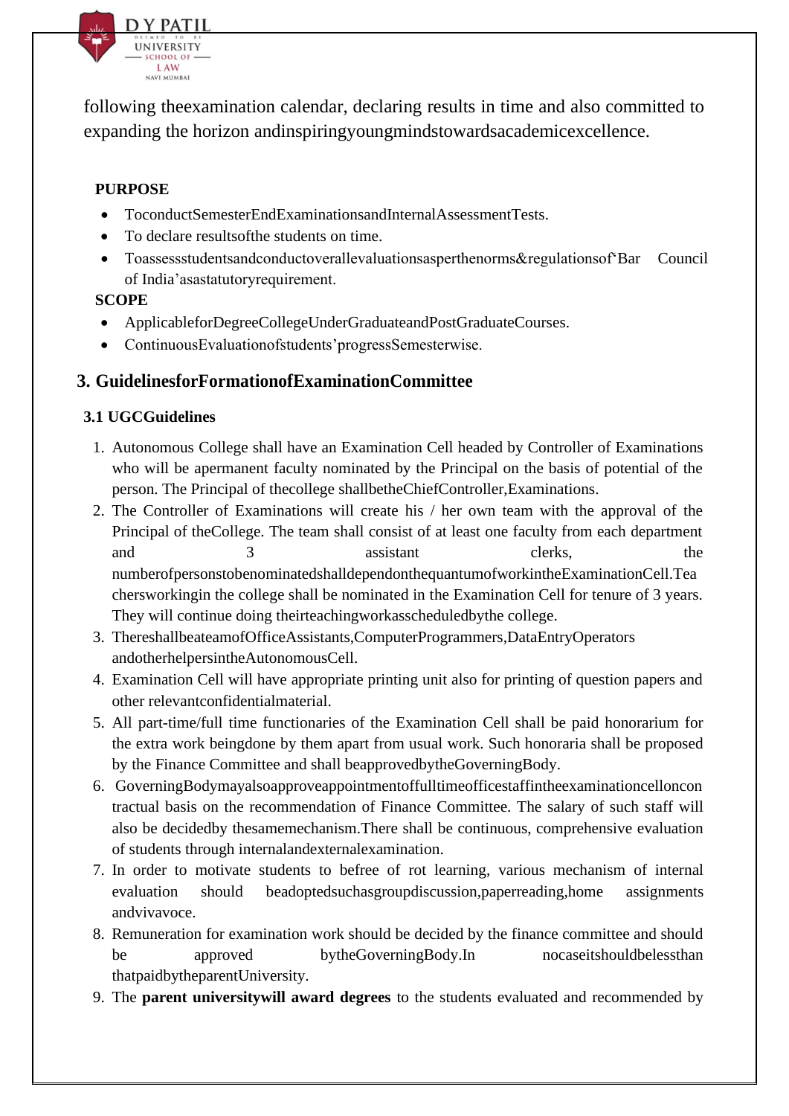

following theexamination calendar, declaring results in time and also committed to expanding the horizon andinspiringyoungmindstowardsacademicexcellence.

## **PURPOSE**

- ToconductSemesterEndExaminationsandInternalAssessmentTests.
- To declare resultsofthe students on time.
- Toassessstudentsandconductoverallevaluationsasperthenorms&regulationsof Bar Council of India'asastatutoryrequirement.

#### **SCOPE**

- ApplicableforDegreeCollegeUnderGraduateandPostGraduateCourses.
- ContinuousEvaluationofstudents'progressSemesterwise.

## **3. GuidelinesforFormationofExaminationCommittee**

### **3.1 UGCGuidelines**

- 1. Autonomous College shall have an Examination Cell headed by Controller of Examinations who will be apermanent faculty nominated by the Principal on the basis of potential of the person. The Principal of thecollege shallbetheChiefController,Examinations.
- 2. The Controller of Examinations will create his / her own team with the approval of the Principal of theCollege. The team shall consist of at least one faculty from each department and 3 assistant clerks, the numberofpersonstobenominatedshalldependonthequantumofworkintheExaminationCell.Tea chersworkingin the college shall be nominated in the Examination Cell for tenure of 3 years. They will continue doing theirteachingworkasscheduledbythe college.
- 3. ThereshallbeateamofOfficeAssistants,ComputerProgrammers,DataEntryOperators andotherhelpersintheAutonomousCell.
- 4. Examination Cell will have appropriate printing unit also for printing of question papers and other relevantconfidentialmaterial.
- 5. All part-time/full time functionaries of the Examination Cell shall be paid honorarium for the extra work beingdone by them apart from usual work. Such honoraria shall be proposed by the Finance Committee and shall beapprovedbytheGoverningBody.
- 6. GoverningBodymayalsoapproveappointmentoffulltimeofficestaffintheexaminationcelloncon tractual basis on the recommendation of Finance Committee. The salary of such staff will also be decidedby thesamemechanism.There shall be continuous, comprehensive evaluation of students through internalandexternalexamination.
- 7. In order to motivate students to befree of rot learning, various mechanism of internal evaluation should beadoptedsuchasgroupdiscussion,paperreading,home assignments andvivavoce.
- 8. Remuneration for examination work should be decided by the finance committee and should be approved bytheGoverningBody.In nocaseitshouldbelessthan thatpaidbytheparentUniversity.
- 9. The **parent universitywill award degrees** to the students evaluated and recommended by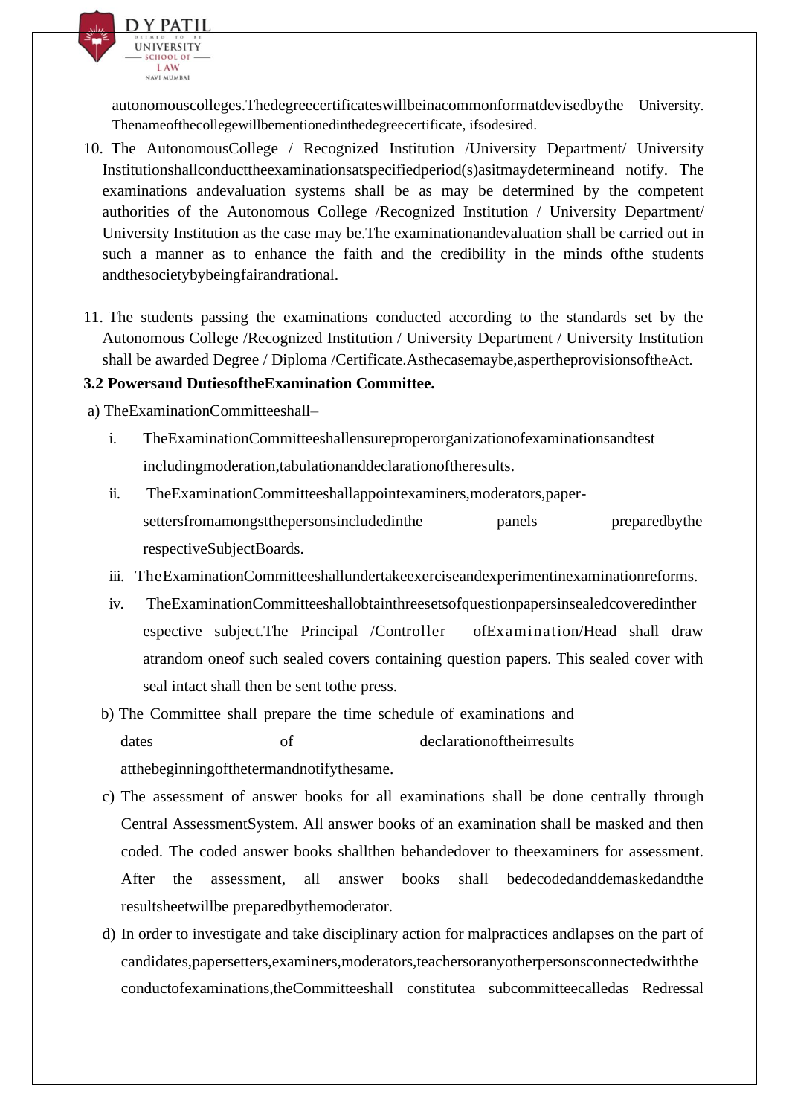

autonomouscolleges.Thedegreecertificateswillbeinacommonformatdevisedbythe University. Thenameofthecollegewillbementionedinthedegreecertificate, ifsodesired.

- 10. The AutonomousCollege / Recognized Institution /University Department/ University Institutionshallconducttheexaminationsatspecifiedperiod(s)asitmaydetermineand notify. The examinations andevaluation systems shall be as may be determined by the competent authorities of the Autonomous College /Recognized Institution / University Department/ University Institution as the case may be.The examinationandevaluation shall be carried out in such a manner as to enhance the faith and the credibility in the minds ofthe students andthesocietybybeingfairandrational.
- 11. The students passing the examinations conducted according to the standards set by the Autonomous College /Recognized Institution / University Department / University Institution shall be awarded Degree / Diploma /Certificate.Asthecasemaybe,aspertheprovisionsoftheAct.

#### **3.2 Powersand DutiesoftheExamination Committee.**

a) TheExaminationCommitteeshall–

- i. TheExaminationCommitteeshallensureproperorganizationofexaminationsandtest includingmoderation,tabulationanddeclarationoftheresults.
- ii. TheExaminationCommitteeshallappointexaminers,moderators,papersettersfromamongstthepersonsincludedinthe panels preparedbythe respectiveSubjectBoards.
- iii. TheExaminationCommitteeshallundertakeexerciseandexperimentinexaminationreforms.
- iv. TheExaminationCommitteeshallobtainthreesetsofquestionpapersinsealedcoveredinther espective subject.The Principal /Controller ofExamination/Head shall draw atrandom oneof such sealed covers containing question papers. This sealed cover with seal intact shall then be sent tothe press.
- b) The Committee shall prepare the time schedule of examinations and dates of declarationoftheirresults atthebeginningofthetermandnotifythesame.
- c) The assessment of answer books for all examinations shall be done centrally through Central AssessmentSystem. All answer books of an examination shall be masked and then coded. The coded answer books shallthen behandedover to theexaminers for assessment. After the assessment, all answer books shall bedecodedanddemaskedandthe resultsheetwillbe preparedbythemoderator.
- d) In order to investigate and take disciplinary action for malpractices andlapses on the part of candidates,papersetters,examiners,moderators,teachersoranyotherpersonsconnectedwiththe conductofexaminations,theCommitteeshall constitutea subcommitteecalledas Redressal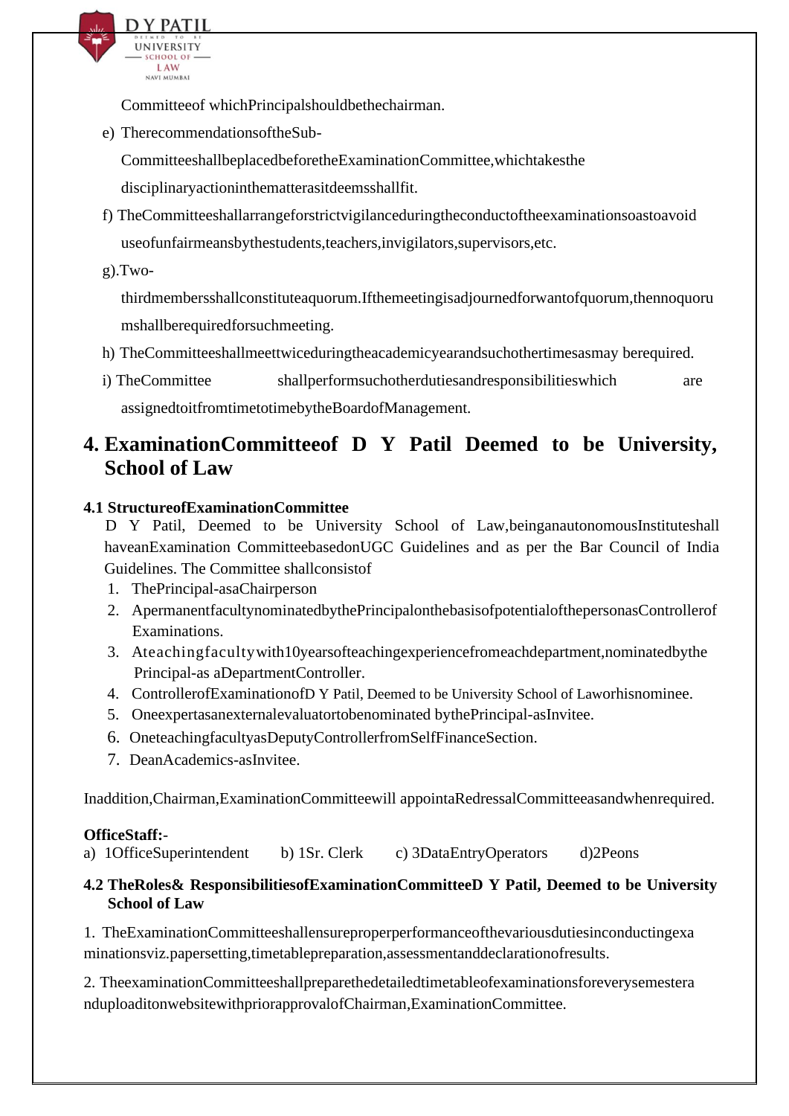

Committeeof whichPrincipalshouldbethechairman.

e) TherecommendationsoftheSub-

CommitteeshallbeplacedbeforetheExaminationCommittee,whichtakesthe

disciplinaryactioninthematterasitdeemsshallfit.

- f) TheCommitteeshallarrangeforstrictvigilanceduringtheconductoftheexaminationsoastoavoid useofunfairmeansbythestudents,teachers,invigilators,supervisors,etc.
- $g)$ . Two-

thirdmembersshallconstituteaquorum.Ifthemeetingisadjournedforwantofquorum,thennoquoru mshallberequiredforsuchmeeting.

- h) TheCommitteeshallmeettwiceduringtheacademicyearandsuchothertimesasmay berequired.
- i) TheCommittee shallperformsuchotherdutiesandresponsibilities which are assignedtoitfromtimetotimebytheBoardofManagement.

## **4. ExaminationCommitteeof D Y Patil Deemed to be University, School of Law**

### **4.1 StructureofExaminationCommittee**

D Y Patil, Deemed to be University School of Law,beinganautonomousInstituteshall haveanExamination CommitteebasedonUGC Guidelines and as per the Bar Council of India Guidelines. The Committee shallconsistof

- 1. ThePrincipal-asaChairperson
- 2. ApermanentfacultynominatedbythePrincipalonthebasisofpotentialofthepersonasControllerof Examinations.
- 3. Ateachingfacultywith10yearsofteachingexperiencefromeachdepartment,nominatedbythe Principal-as aDepartmentController.
- 4. ControllerofExaminationofD Y Patil, Deemed to be University School of Laworhisnominee.
- 5. Oneexpertasanexternalevaluatortobenominated bythePrincipal-asInvitee.
- 6. OneteachingfacultyasDeputyControllerfromSelfFinanceSection.
- 7. DeanAcademics-asInvitee.

Inaddition,Chairman,ExaminationCommitteewill appointaRedressalCommitteeasandwhenrequired.

## **OfficeStaff:**-

a) 1OfficeSuperintendent b) 1Sr. Clerk c) 3DataEntryOperators d)2Peons

#### **4.2 TheRoles& ResponsibilitiesofExaminationCommitteeD Y Patil, Deemed to be University School of Law**

1. TheExaminationCommitteeshallensureproperperformanceofthevariousdutiesinconductingexa minationsviz.papersetting,timetablepreparation,assessmentanddeclarationofresults.

2. TheexaminationCommitteeshallpreparethedetailedtimetableofexaminationsforeverysemestera nduploaditonwebsitewithpriorapprovalofChairman,ExaminationCommittee.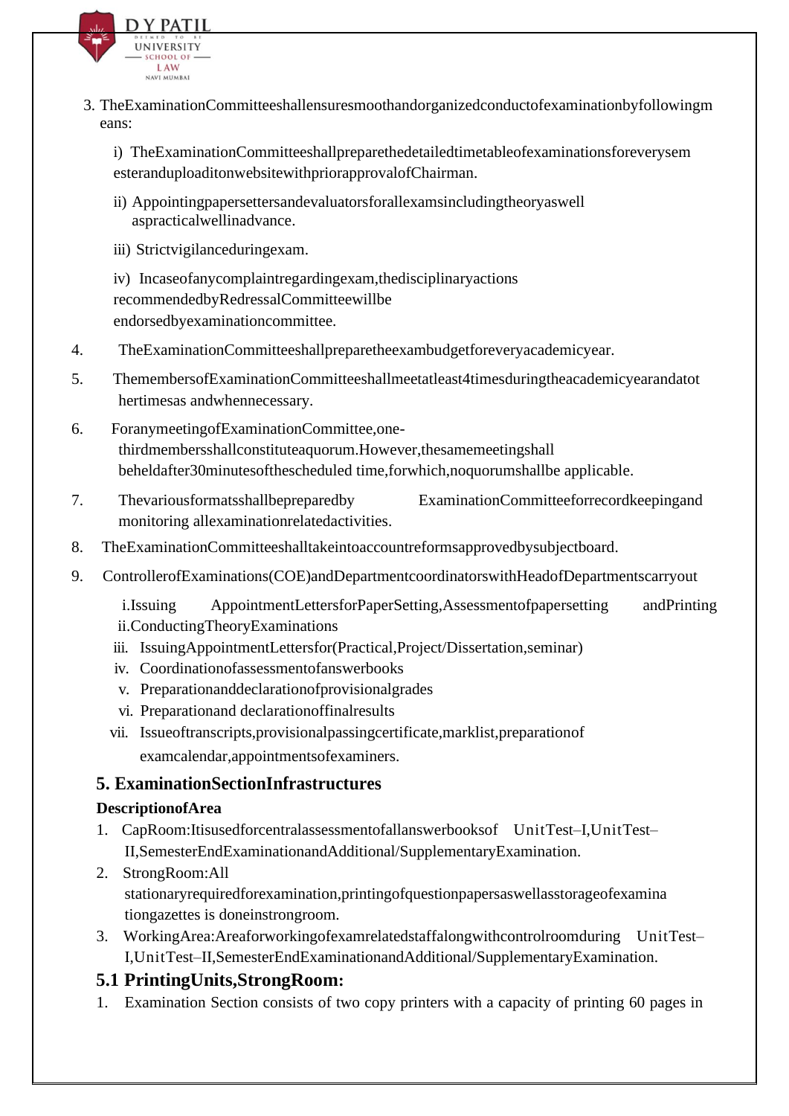

3. TheExaminationCommitteeshallensuresmoothandorganizedconductofexaminationbyfollowingm eans:

i) TheExaminationCommitteeshallpreparethedetailedtimetableofexaminationsforeverysem esteranduploaditonwebsitewithpriorapprovalofChairman.

- ii) Appointingpapersettersandevaluatorsforallexamsincludingtheoryaswell aspracticalwellinadvance.
- iii) Strictvigilanceduringexam.

iv) Incaseofanycomplaintregardingexam,thedisciplinaryactions recommendedbyRedressalCommitteewillbe endorsedbyexaminationcommittee.

- 4. TheExaminationCommitteeshallpreparetheexambudgetforeveryacademicyear.
- 5. ThemembersofExaminationCommitteeshallmeetatleast4timesduringtheacademicyearandatot hertimesas andwhennecessary.
- 6. ForanymeetingofExaminationCommittee,onethirdmembersshallconstituteaquorum.However,thesamemeetingshall beheldafter30minutesofthescheduled time,forwhich,noquorumshallbe applicable.
- 7. Thevariousformatsshallbepreparedby ExaminationCommitteeforrecordkeepingand monitoring allexaminationrelatedactivities.
- 8. TheExaminationCommitteeshalltakeintoaccountreformsapprovedbysubjectboard.
- 9. ControllerofExaminations(COE)andDepartmentcoordinatorswithHeadofDepartmentscarryout

i.Issuing AppointmentLettersforPaperSetting,Assessmentofpapersetting andPrinting ii.ConductingTheoryExaminations

- iii. IssuingAppointmentLettersfor(Practical,Project/Dissertation,seminar)
- iv. Coordinationofassessmentofanswerbooks
- v. Preparationanddeclarationofprovisionalgrades
- vi. Preparationand declarationoffinalresults
- vii. Issueoftranscripts,provisionalpassingcertificate,marklist,preparationof examcalendar,appointmentsofexaminers.

## **5. ExaminationSectionInfrastructures**

#### **DescriptionofArea**

- 1. CapRoom:Itisusedforcentralassessmentofallanswerbooksof UnitTest–I,UnitTest– II,SemesterEndExaminationandAdditional/SupplementaryExamination.
- 2. StrongRoom:All stationaryrequiredforexamination,printingofquestionpapersaswellasstorageofexamina tiongazettes is doneinstrongroom.
- 3. WorkingArea:Areaforworkingofexamrelatedstaffalongwithcontrolroomduring UnitTest– I,UnitTest–II,SemesterEndExaminationandAdditional/SupplementaryExamination.

## **5.1 PrintingUnits,StrongRoom:**

1. Examination Section consists of two copy printers with a capacity of printing 60 pages in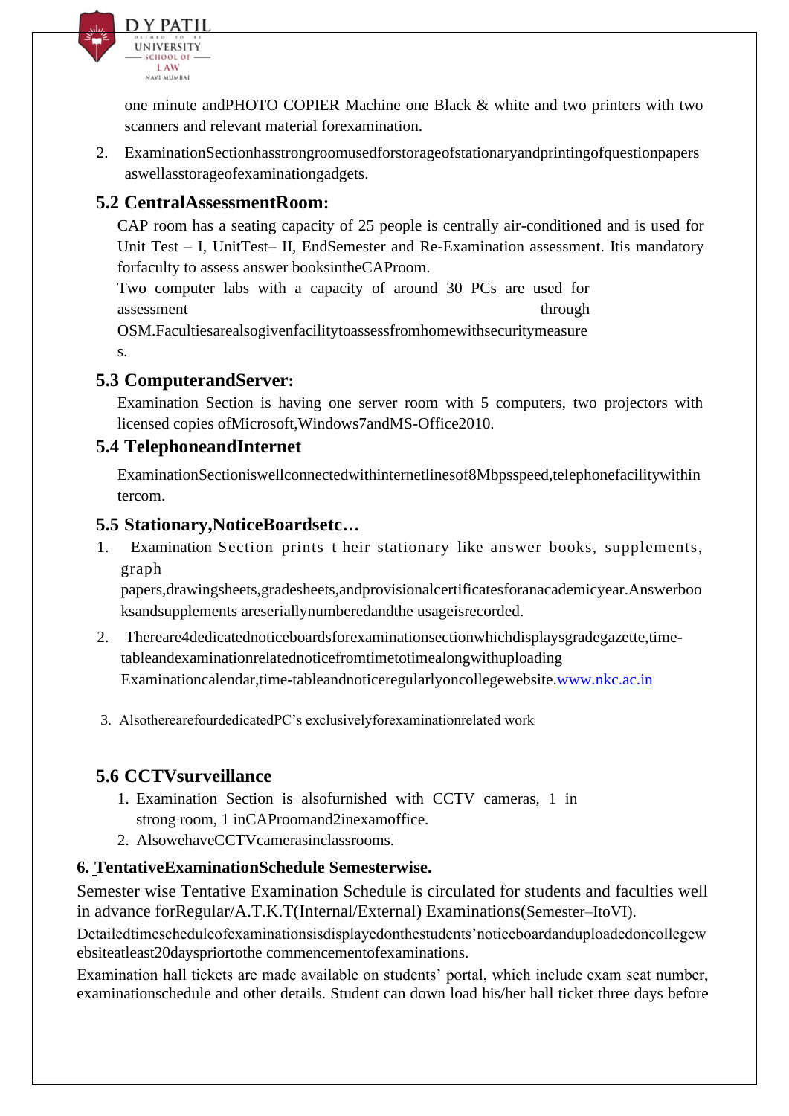

one minute andPHOTO COPIER Machine one Black & white and two printers with two scanners and relevant material forexamination.

2. ExaminationSectionhasstrongroomusedforstorageofstationaryandprintingofquestionpapers aswellasstorageofexaminationgadgets.

## **5.2 CentralAssessmentRoom:**

CAP room has a seating capacity of 25 people is centrally air-conditioned and is used for Unit Test – I, UnitTest– II, EndSemester and Re-Examination assessment. Itis mandatory forfaculty to assess answer booksintheCAProom.

Two computer labs with a capacity of around 30 PCs are used for assessment through through through through through through through through through through through through through through through through through through through through through through through through through through thr OSM.Facultiesarealsogivenfacilitytoassessfromhomewithsecuritymeasure s.

## **5.3 ComputerandServer:**

Examination Section is having one server room with 5 computers, two projectors with licensed copies ofMicrosoft,Windows7andMS-Office2010.

## **5.4 TelephoneandInternet**

ExaminationSectioniswellconnectedwithinternetlinesof8Mbpsspeed,telephonefacilitywithin tercom.

## **5.5 Stationary,NoticeBoardsetc…**

1. Examination Section prints t heir stationary like answer books, supplements, graph

papers,drawingsheets,gradesheets,andprovisionalcertificatesforanacademicyear.Answerboo ksandsupplements areseriallynumberedandthe usageisrecorded.

- 2. Thereare4dedicatednoticeboardsforexaminationsectionwhichdisplaysgradegazette,timetableandexaminationrelatednoticefromtimetotimealongwithuploading Examinationcalendar,time-tableandnoticeregularlyoncollegewebsite[.www.nkc.ac.in](http://www.nkc.ac.in/)
- 3. AlsotherearefourdedicatedPC's exclusivelyforexaminationrelated work

## **5.6 CCTVsurveillance**

- 1. Examination Section is alsofurnished with CCTV cameras, 1 in strong room, 1 inCAProomand2inexamoffice.
- 2. AlsowehaveCCTVcamerasinclassrooms.

## **6. TentativeExaminationSchedule Semesterwise.**

Semester wise Tentative Examination Schedule is circulated for students and faculties well in advance forRegular/A.T.K.T(Internal/External) Examinations(Semester–ItoVI).

Detailedtimescheduleofexaminationsisdisplayedonthestudents'noticeboardanduploadedoncollegew ebsiteatleast20dayspriortothe commencementofexaminations.

Examination hall tickets are made available on students' portal, which include exam seat number, examinationschedule and other details. Student can down load his/her hall ticket three days before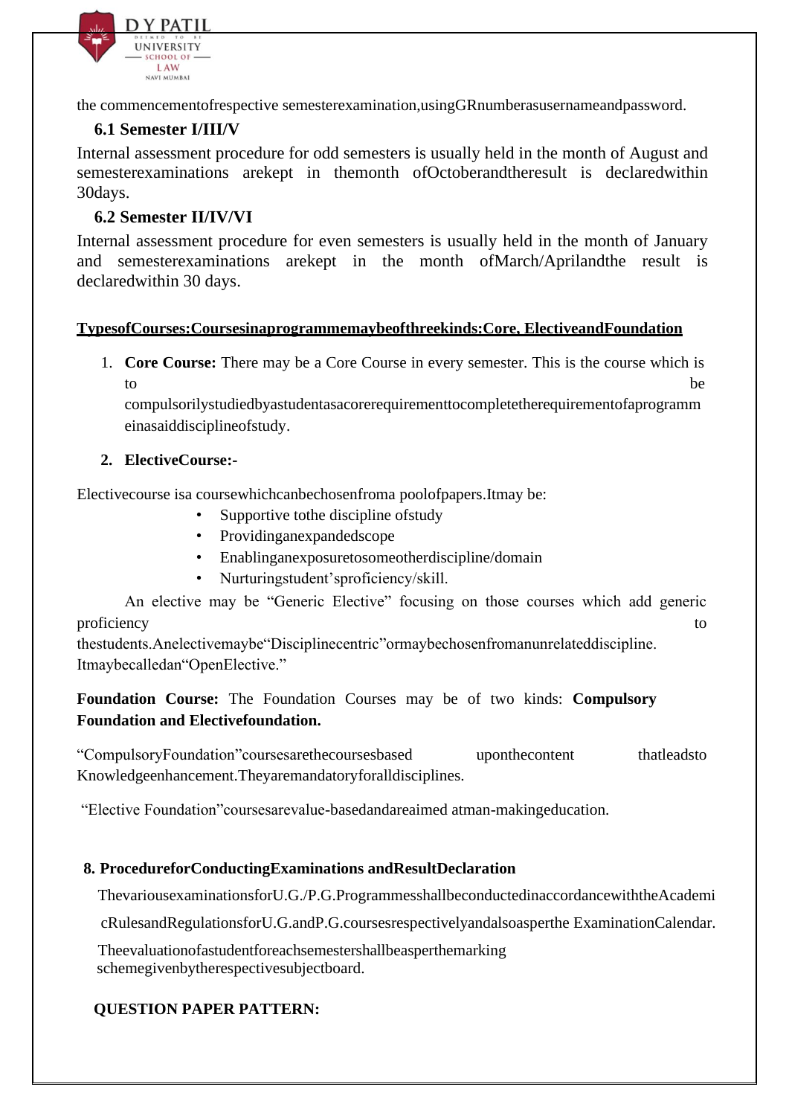

the commencementofrespective semesterexamination,usingGRnumberasusernameandpassword.

#### **6.1 Semester I/III/V**

Internal assessment procedure for odd semesters is usually held in the month of August and semesterexaminations arekept in themonth ofOctoberandtheresult is declaredwithin 30days.

#### **6.2 Semester II/IV/VI**

Internal assessment procedure for even semesters is usually held in the month of January and semesterexaminations arekept in the month ofMarch/Aprilandthe result is declaredwithin 30 days.

#### **TypesofCourses:Coursesinaprogrammemaybeofthreekinds:Core, ElectiveandFoundation**

1. **Core Course:** There may be a Core Course in every semester. This is the course which is to be the contract of the contract of the contract of the contract of the best of the contract of the contract of the contract of the contract of the contract of the contract of the contract of the contract of the contract

compulsorilystudiedbyastudentasacorerequirementtocompletetherequirementofaprogramm einasaiddisciplineofstudy.

#### **2. ElectiveCourse:-**

Electivecourse isa coursewhichcanbechosenfroma poolofpapers.Itmay be:

- Supportive to the discipline of study
- Providinganexpandedscope
- Enablinganexposuretosomeotherdiscipline/domain
- Nurturingstudent'sproficiency/skill.

An elective may be "Generic Elective" focusing on those courses which add generic proficiency to the contract of the contract of the contract of the contract of the contract of the contract of the contract of the contract of the contract of the contract of the contract of the contract of the contract of

thestudents.Anelectivemaybe"Disciplinecentric"ormaybechosenfromanunrelateddiscipline. Itmaybecalledan"OpenElective."

**Foundation Course:** The Foundation Courses may be of two kinds: **Compulsory Foundation and Electivefoundation.**

"CompulsoryFoundation"coursesarethecoursesbased uponthecontent thatleadsto Knowledgeenhancement.Theyaremandatoryforalldisciplines.

"Elective Foundation"coursesarevalue-basedandareaimed atman-makingeducation.

#### **8. ProcedureforConductingExaminations andResultDeclaration**

ThevariousexaminationsforU.G./P.G.ProgrammesshallbeconductedinaccordancewiththeAcademi

cRulesandRegulationsforU.G.andP.G.coursesrespectivelyandalsoasperthe ExaminationCalendar.

Theevaluationofastudentforeachsemestershallbeasperthemarking schemegivenbytherespectivesubjectboard.

#### **QUESTION PAPER PATTERN:**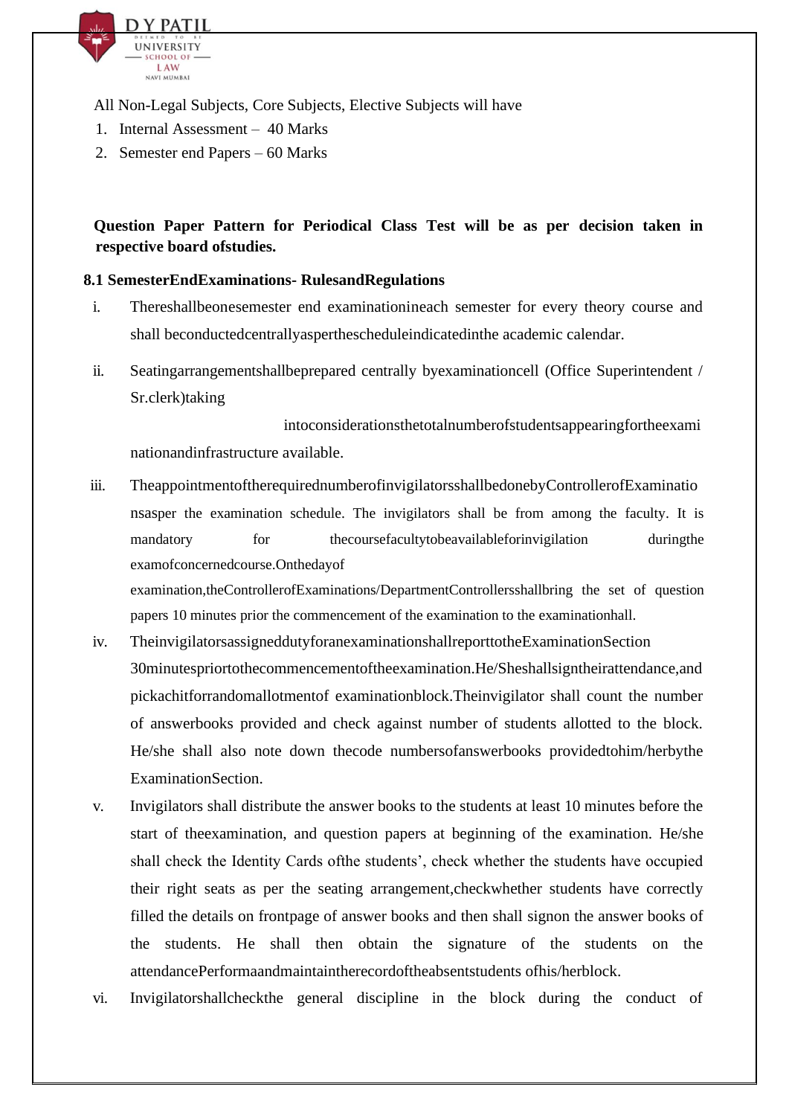

All Non-Legal Subjects, Core Subjects, Elective Subjects will have

- 1. Internal Assessment 40 Marks
- 2. Semester end Papers 60 Marks

## **Question Paper Pattern for Periodical Class Test will be as per decision taken in respective board ofstudies.**

#### **8.1 SemesterEndExaminations- RulesandRegulations**

- i. Thereshallbeonesemester end examinationineach semester for every theory course and shall beconductedcentrallyasperthescheduleindicatedinthe academic calendar.
- ii. Seatingarrangementshallbeprepared centrally byexaminationcell (Office Superintendent / Sr.clerk)taking

intoconsiderationsthetotalnumberofstudentsappearingfortheexami nationandinfrastructure available.

iii. TheappointmentoftherequirednumberofinvigilatorsshallbedonebyControllerofExaminatio nsasper the examination schedule. The invigilators shall be from among the faculty. It is mandatory for the coursefaculty to beavailable for invigilation during the during the course faculty to beavailable for invigilation during the mandatory of the course faculty to beavailable for invigilation examofconcernedcourse.Onthedayof

examination,theControllerofExaminations/DepartmentControllersshallbring the set of question papers 10 minutes prior the commencement of the examination to the examinationhall.

- iv. TheinvigilatorsassigneddutyforanexaminationshallreporttotheExaminationSection 30minutespriortothecommencementoftheexamination.He/Sheshallsigntheirattendance,and pickachitforrandomallotmentof examinationblock.Theinvigilator shall count the number of answerbooks provided and check against number of students allotted to the block. He/she shall also note down thecode numbersofanswerbooks providedtohim/herbythe ExaminationSection.
- v. Invigilators shall distribute the answer books to the students at least 10 minutes before the start of theexamination, and question papers at beginning of the examination. He/she shall check the Identity Cards ofthe students', check whether the students have occupied their right seats as per the seating arrangement,checkwhether students have correctly filled the details on frontpage of answer books and then shall signon the answer books of the students. He shall then obtain the signature of the students on the attendancePerformaandmaintaintherecordoftheabsentstudents ofhis/herblock.
- vi. Invigilatorshallcheckthe general discipline in the block during the conduct of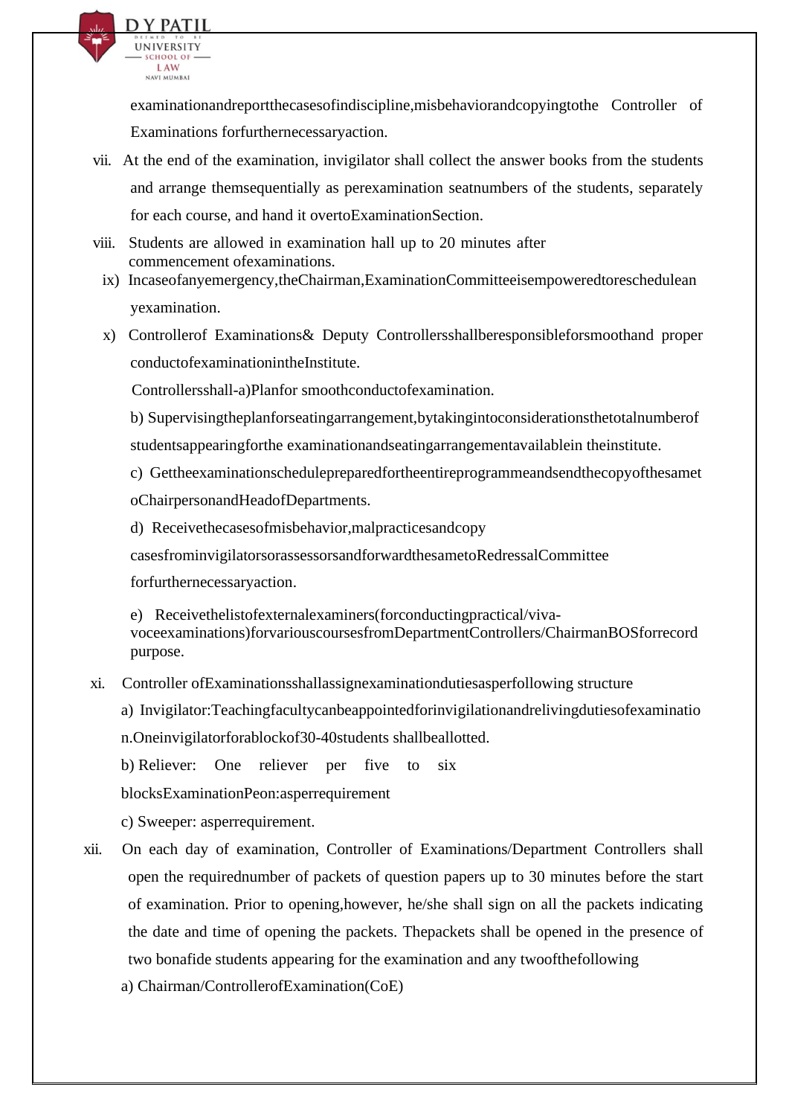

examinationandreportthecasesofindiscipline,misbehaviorandcopyingtothe Controller of Examinations forfurthernecessaryaction.

- vii. At the end of the examination, invigilator shall collect the answer books from the students and arrange themsequentially as perexamination seatnumbers of the students, separately for each course, and hand it overtoExaminationSection.
- viii. Students are allowed in examination hall up to 20 minutes after commencement ofexaminations.
	- ix) Incaseofanyemergency,theChairman,ExaminationCommitteeisempoweredtoreschedulean yexamination.
	- x) Controllerof Examinations& Deputy Controllersshallberesponsibleforsmoothand proper conductofexaminationintheInstitute.

Controllersshall-a)Planfor smoothconductofexamination.

- b) Supervisingtheplanforseatingarrangement,bytakingintoconsiderationsthetotalnumberof studentsappearingforthe examinationandseatingarrangementavailablein theinstitute.
- c) Gettheexaminationschedulepreparedfortheentireprogrammeandsendthecopyofthesamet oChairpersonandHeadofDepartments.
- d) Receivethecasesofmisbehavior,malpracticesandcopy

casesfrominvigilatorsorassessorsandforwardthesametoRedressalCommittee

forfurthernecessaryaction.

e) Receivethelistofexternalexaminers(forconductingpractical/vivavoceexaminations)forvariouscoursesfromDepartmentControllers/ChairmanBOSforrecord purpose.

- xi. Controller ofExaminationsshallassignexaminationdutiesasperfollowing structure
	- a) Invigilator:Teachingfacultycanbeappointedforinvigilationandrelivingdutiesofexaminatio

n.Oneinvigilatorforablockof30-40students shallbeallotted.

b) Reliever: One reliever per five to six

blocksExaminationPeon:asperrequirement

c) Sweeper: asperrequirement.

- xii. On each day of examination, Controller of Examinations/Department Controllers shall open the requirednumber of packets of question papers up to 30 minutes before the start of examination. Prior to opening,however, he/she shall sign on all the packets indicating the date and time of opening the packets. Thepackets shall be opened in the presence of two bonafide students appearing for the examination and any twoofthefollowing
	- a) Chairman/ControllerofExamination(CoE)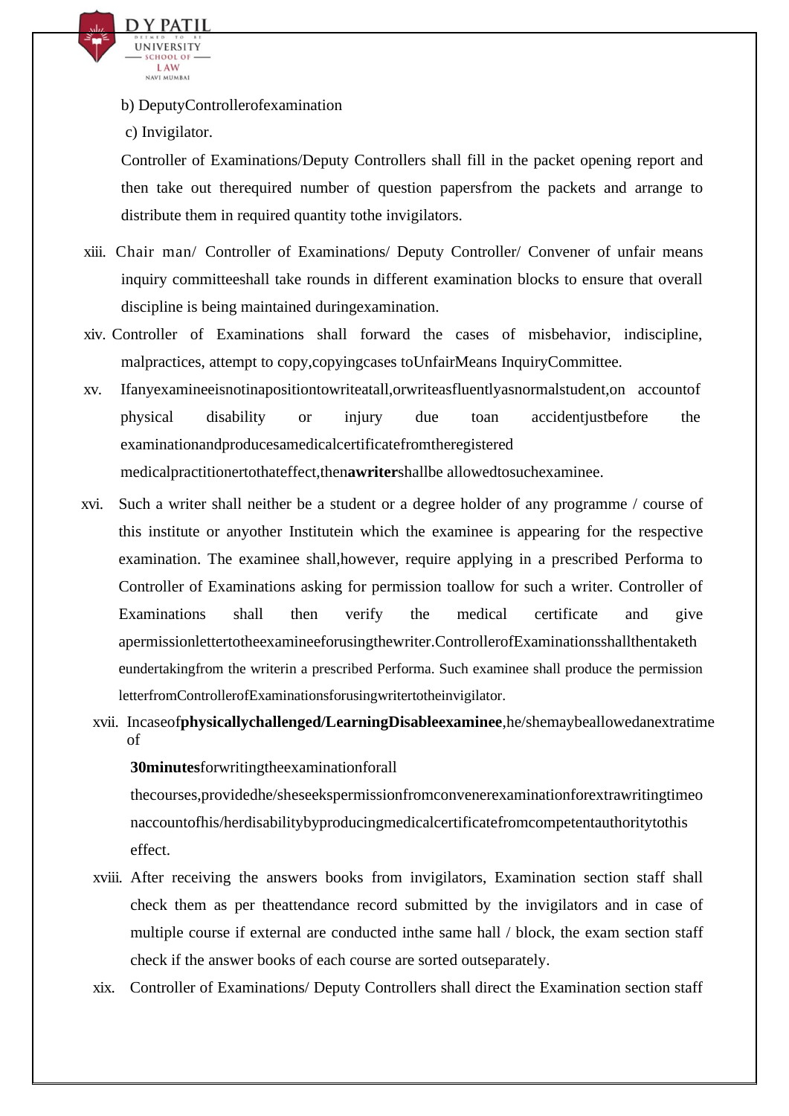

b) DeputyControllerofexamination

c) Invigilator.

Controller of Examinations/Deputy Controllers shall fill in the packet opening report and then take out therequired number of question papersfrom the packets and arrange to distribute them in required quantity tothe invigilators.

- xiii. Chair man/ Controller of Examinations/ Deputy Controller/ Convener of unfair means inquiry committeeshall take rounds in different examination blocks to ensure that overall discipline is being maintained duringexamination.
- xiv. Controller of Examinations shall forward the cases of misbehavior, indiscipline, malpractices, attempt to copy,copyingcases toUnfairMeans InquiryCommittee.
- xv. Ifanyexamineeisnotinapositiontowriteatall,orwriteasfluentlyasnormalstudent,on accountof physical disability or injury due toan accidentjustbefore the examinationandproducesamedicalcertificatefromtheregistered medicalpractitionertothateffect,then**awriter**shallbe allowedtosuchexaminee.
- xvi. Such a writer shall neither be a student or a degree holder of any programme / course of this institute or anyother Institutein which the examinee is appearing for the respective examination. The examinee shall,however, require applying in a prescribed Performa to Controller of Examinations asking for permission toallow for such a writer. Controller of Examinations shall then verify the medical certificate and give apermissionlettertotheexamineeforusingthewriter.ControllerofExaminationsshallthentaketh eundertakingfrom the writerin a prescribed Performa. Such examinee shall produce the permission letterfromControllerofExaminationsforusingwritertotheinvigilator.
	- xvii. Incaseof**physicallychallenged/LearningDisableexaminee**,he/shemaybeallowedanextratime of

#### **30minutes**forwritingtheexaminationforall

thecourses,providedhe/sheseekspermissionfromconvenerexaminationforextrawritingtimeo naccountofhis/herdisabilitybyproducingmedicalcertificatefromcompetentauthoritytothis effect.

- xviii. After receiving the answers books from invigilators, Examination section staff shall check them as per theattendance record submitted by the invigilators and in case of multiple course if external are conducted inthe same hall / block, the exam section staff check if the answer books of each course are sorted outseparately.
- xix. Controller of Examinations/ Deputy Controllers shall direct the Examination section staff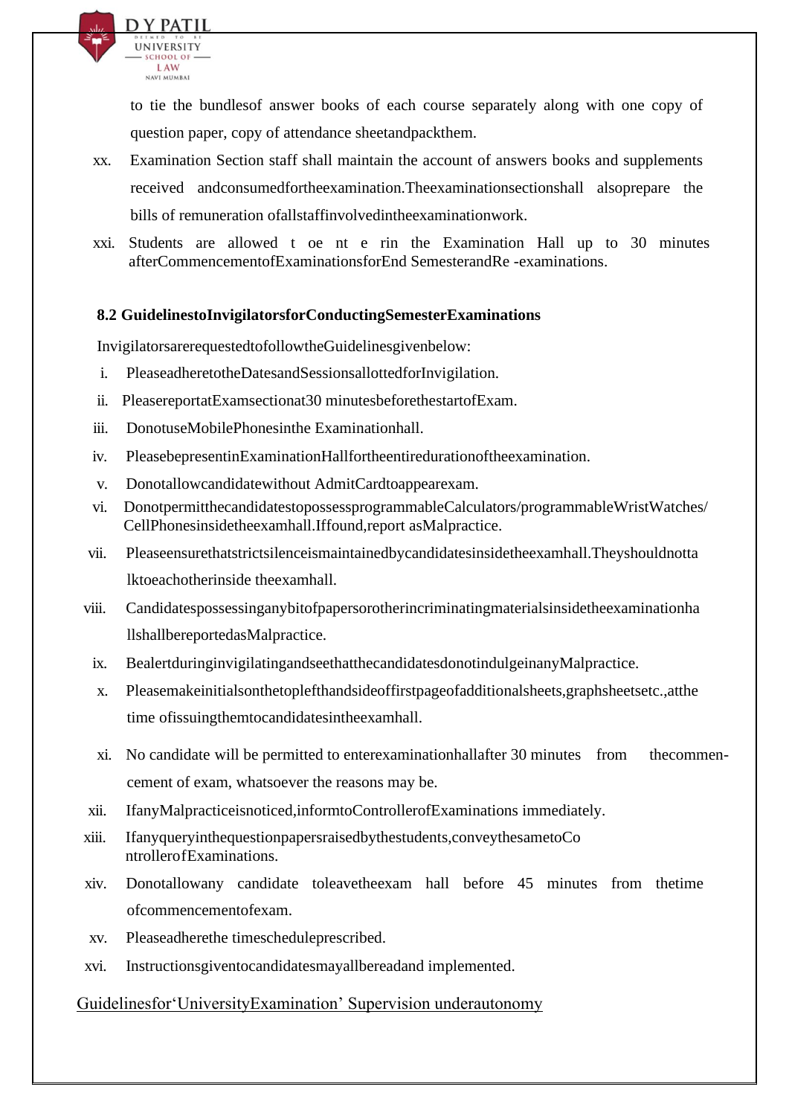

to tie the bundlesof answer books of each course separately along with one copy of question paper, copy of attendance sheetandpackthem.

- xx. Examination Section staff shall maintain the account of answers books and supplements received andconsumedfortheexamination.Theexaminationsectionshall alsoprepare the bills of remuneration ofallstaffinvolvedintheexaminationwork.
- xxi. Students are allowed t oe nt e rin the Examination Hall up to 30 minutes afterCommencementofExaminationsforEnd SemesterandRe -examinations.

#### **8.2 GuidelinestoInvigilatorsforConductingSemesterExaminations**

InvigilatorsarerequestedtofollowtheGuidelinesgivenbelow:

- i. PleaseadheretotheDatesandSessionsallottedforInvigilation.
- ii. PleasereportatExamsectionat30 minutesbeforethestartofExam.
- iii. DonotuseMobilePhonesinthe Examinationhall.
- iv. PleasebepresentinExaminationHallfortheentiredurationoftheexamination.
- v. Donotallowcandidatewithout AdmitCardtoappearexam.
- vi. DonotpermitthecandidatestopossessprogrammableCalculators/programmableWristWatches/ CellPhonesinsidetheexamhall.Iffound,report asMalpractice.
- vii. Pleaseensurethatstrictsilenceismaintainedbycandidatesinsidetheexamhall.Theyshouldnotta lktoeachotherinside theexamhall.
- viii. Candidatespossessinganybitofpapersorotherincriminatingmaterialsinsidetheexaminationha llshallbereportedasMalpractice.
- ix. BealertduringinvigilatingandseethatthecandidatesdonotindulgeinanyMalpractice.
- x. Pleasemakeinitialsonthetoplefthandsideoffirstpageofadditionalsheets,graphsheetsetc.,atthe time ofissuingthemtocandidatesintheexamhall.
- xi. No candidate will be permitted to enterexaminationhallafter 30 minutes from thecommencement of exam, whatsoever the reasons may be.
- xii. IfanyMalpracticeisnoticed,informtoControllerofExaminations immediately.
- xiii. Ifanyqueryinthequestionpapersraisedbythestudents,conveythesametoCo ntrollerofExaminations.
- xiv. Donotallowany candidate toleavetheexam hall before 45 minutes from thetime ofcommencementofexam.
- xv. Pleaseadherethe timescheduleprescribed.
- xvi. Instructionsgiventocandidatesmayallbereadand implemented.

#### Guidelinesfor'UniversityExamination' Supervision underautonomy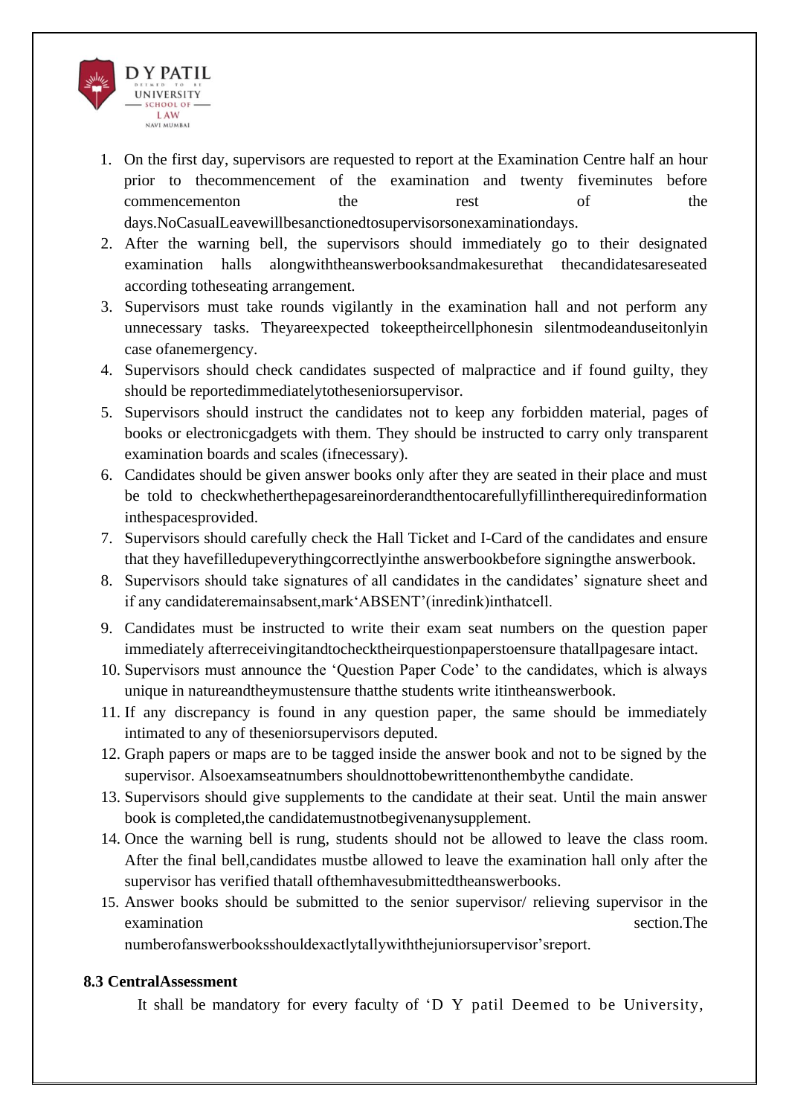

- 1. On the first day, supervisors are requested to report at the Examination Centre half an hour prior to thecommencement of the examination and twenty fiveminutes before commencementon the rest of the days.NoCasualLeavewillbesanctionedtosupervisorsonexaminationdays.
- 2. After the warning bell, the supervisors should immediately go to their designated examination halls alongwiththeanswerbooksandmakesurethat thecandidatesareseated according totheseating arrangement.
- 3. Supervisors must take rounds vigilantly in the examination hall and not perform any unnecessary tasks. Theyareexpected tokeeptheircellphonesin silentmodeanduseitonlyin case ofanemergency.
- 4. Supervisors should check candidates suspected of malpractice and if found guilty, they should be reportedimmediatelytotheseniorsupervisor.
- 5. Supervisors should instruct the candidates not to keep any forbidden material, pages of books or electronicgadgets with them. They should be instructed to carry only transparent examination boards and scales (ifnecessary).
- 6. Candidates should be given answer books only after they are seated in their place and must be told to checkwhetherthepagesareinorderandthentocarefullyfillintherequiredinformation inthespacesprovided.
- 7. Supervisors should carefully check the Hall Ticket and I-Card of the candidates and ensure that they havefilledupeverythingcorrectlyinthe answerbookbefore signingthe answerbook.
- 8. Supervisors should take signatures of all candidates in the candidates' signature sheet and if any candidateremainsabsent,mark'ABSENT'(inredink)inthatcell.
- 9. Candidates must be instructed to write their exam seat numbers on the question paper immediately afterreceivingitandtochecktheirquestionpaperstoensure thatallpagesare intact.
- 10. Supervisors must announce the 'Question Paper Code' to the candidates, which is always unique in natureandtheymustensure thatthe students write itintheanswerbook.
- 11. If any discrepancy is found in any question paper, the same should be immediately intimated to any of theseniorsupervisors deputed.
- 12. Graph papers or maps are to be tagged inside the answer book and not to be signed by the supervisor. Alsoexamseatnumbers shouldnottobewrittenonthembythe candidate.
- 13. Supervisors should give supplements to the candidate at their seat. Until the main answer book is completed,the candidatemustnotbegivenanysupplement.
- 14. Once the warning bell is rung, students should not be allowed to leave the class room. After the final bell,candidates mustbe allowed to leave the examination hall only after the supervisor has verified thatall ofthemhavesubmittedtheanswerbooks.
- 15. Answer books should be submitted to the senior supervisor/ relieving supervisor in the examination section. The section of the section of the section of the section. The section of the section of the section. The section of the section of the section of the section of the section of the section. The section

numberofanswerbooksshouldexactlytallywiththejuniorsupervisor'sreport.

#### **8.3 CentralAssessment**

It shall be mandatory for every faculty of 'D Y patil Deemed to be University,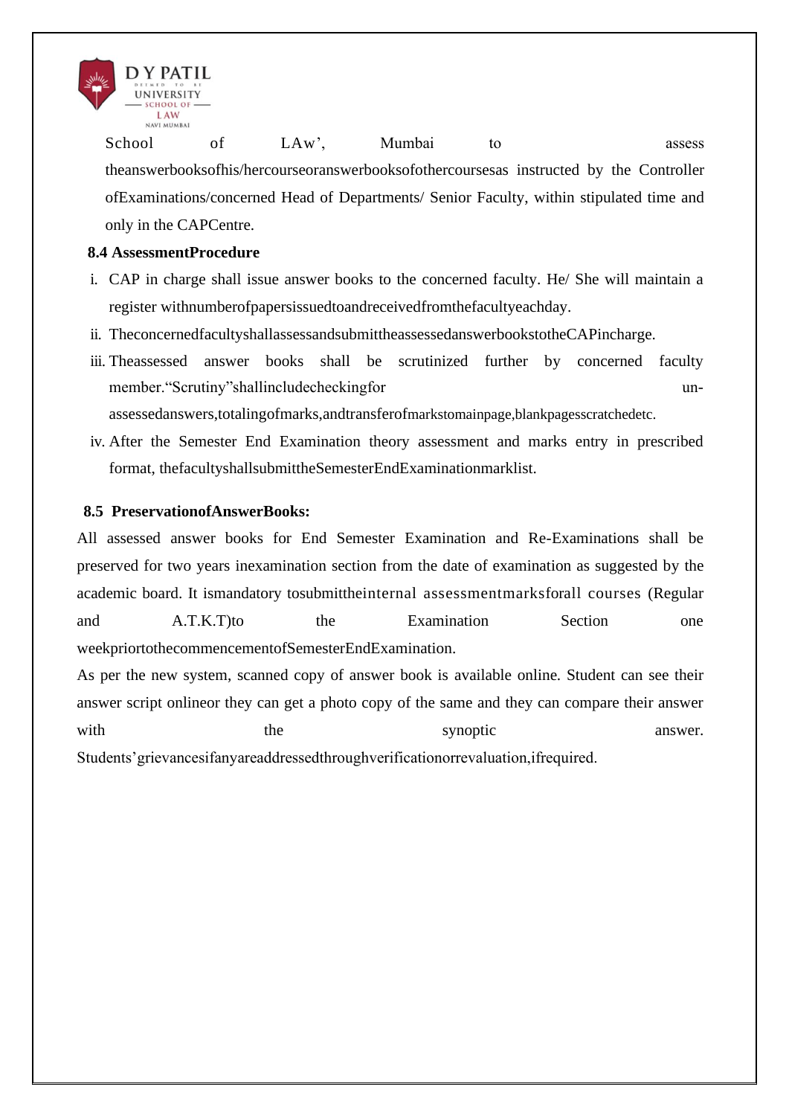

School of LAw', Mumbai to assess theanswerbooksofhis/hercourseoranswerbooksofothercoursesas instructed by the Controller ofExaminations/concerned Head of Departments/ Senior Faculty, within stipulated time and only in the CAPCentre.

#### **8.4 AssessmentProcedure**

- i. CAP in charge shall issue answer books to the concerned faculty. He/ She will maintain a register withnumberofpapersissuedtoandreceivedfromthefacultyeachday.
- ii. TheconcernedfacultyshallassessandsubmittheassessedanswerbookstotheCAPincharge.
- iii. Theassessed answer books shall be scrutinized further by concerned faculty member."Scrutiny"shallincludecheckingfor unassessedanswers,totalingofmarks,andtransferofmarkstomainpage,blankpagesscratchedetc.
- iv. After the Semester End Examination theory assessment and marks entry in prescribed format, thefacultyshallsubmittheSemesterEndExaminationmarklist.

#### **8.5 PreservationofAnswerBooks:**

All assessed answer books for End Semester Examination and Re-Examinations shall be preserved for two years inexamination section from the date of examination as suggested by the academic board. It ismandatory tosubmittheinternal assessmentmarksforall courses (Regular and A.T.K.T)to the Examination Section one weekpriortothecommencementofSemesterEndExamination.

As per the new system, scanned copy of answer book is available online. Student can see their answer script onlineor they can get a photo copy of the same and they can compare their answer with the the synoptic answer. Students'grievancesifanyareaddressedthroughverificationorrevaluation,ifrequired.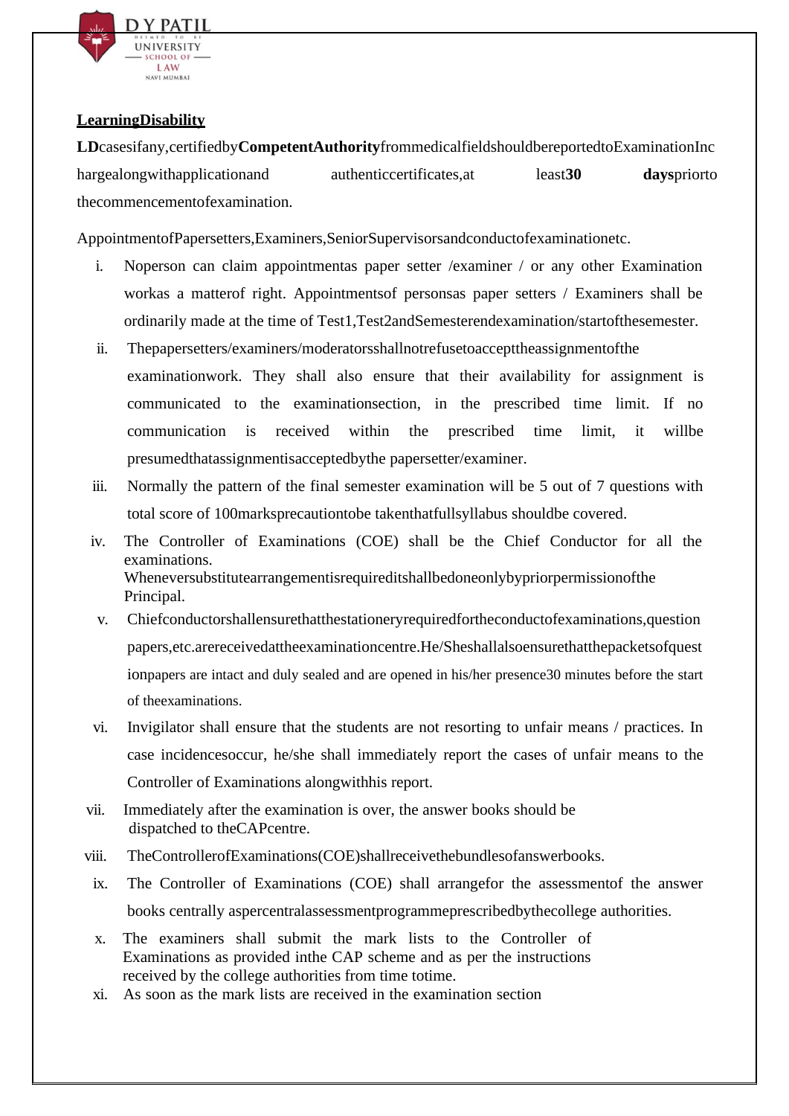

#### **LearningDisability**

**LD**casesifany,certifiedby**CompetentAuthority**frommedicalfieldshouldbereportedtoExaminationInc hargealongwithapplicationand authenticcertificates,at least**30 days**priorto thecommencementofexamination.

AppointmentofPapersetters,Examiners,SeniorSupervisorsandconductofexaminationetc.

- i. Noperson can claim appointmentas paper setter /examiner / or any other Examination workas a matterof right. Appointmentsof personsas paper setters / Examiners shall be ordinarily made at the time of Test1,Test2andSemesterendexamination/startofthesemester.
- ii. Thepapersetters/examiners/moderatorsshallnotrefusetoaccepttheassignmentofthe examinationwork. They shall also ensure that their availability for assignment is communicated to the examinationsection, in the prescribed time limit. If no communication is received within the prescribed time limit, it willbe presumedthatassignmentisacceptedbythe papersetter/examiner.
- iii. Normally the pattern of the final semester examination will be 5 out of 7 questions with total score of 100marksprecautiontobe takenthatfullsyllabus shouldbe covered.
- iv. The Controller of Examinations (COE) shall be the Chief Conductor for all the examinations. Wheneversubstitutearrangementisrequireditshallbedoneonlybypriorpermissionofthe Principal.
- v. Chiefconductorshallensurethatthestationeryrequiredfortheconductofexaminations,question papers,etc.arereceivedattheexaminationcentre.He/Sheshallalsoensurethatthepacketsofquest ionpapers are intact and duly sealed and are opened in his/her presence30 minutes before the start of theexaminations.
- vi. Invigilator shall ensure that the students are not resorting to unfair means / practices. In case incidencesoccur, he/she shall immediately report the cases of unfair means to the Controller of Examinations alongwithhis report.
- vii. Immediately after the examination is over, the answer books should be dispatched to theCAPcentre.
- viii. TheControllerofExaminations(COE)shallreceivethebundlesofanswerbooks.
- ix. The Controller of Examinations (COE) shall arrangefor the assessmentof the answer books centrally aspercentralassessmentprogrammeprescribedbythecollege authorities.
- x. The examiners shall submit the mark lists to the Controller of Examinations as provided inthe CAP scheme and as per the instructions received by the college authorities from time totime.
- xi. As soon as the mark lists are received in the examination section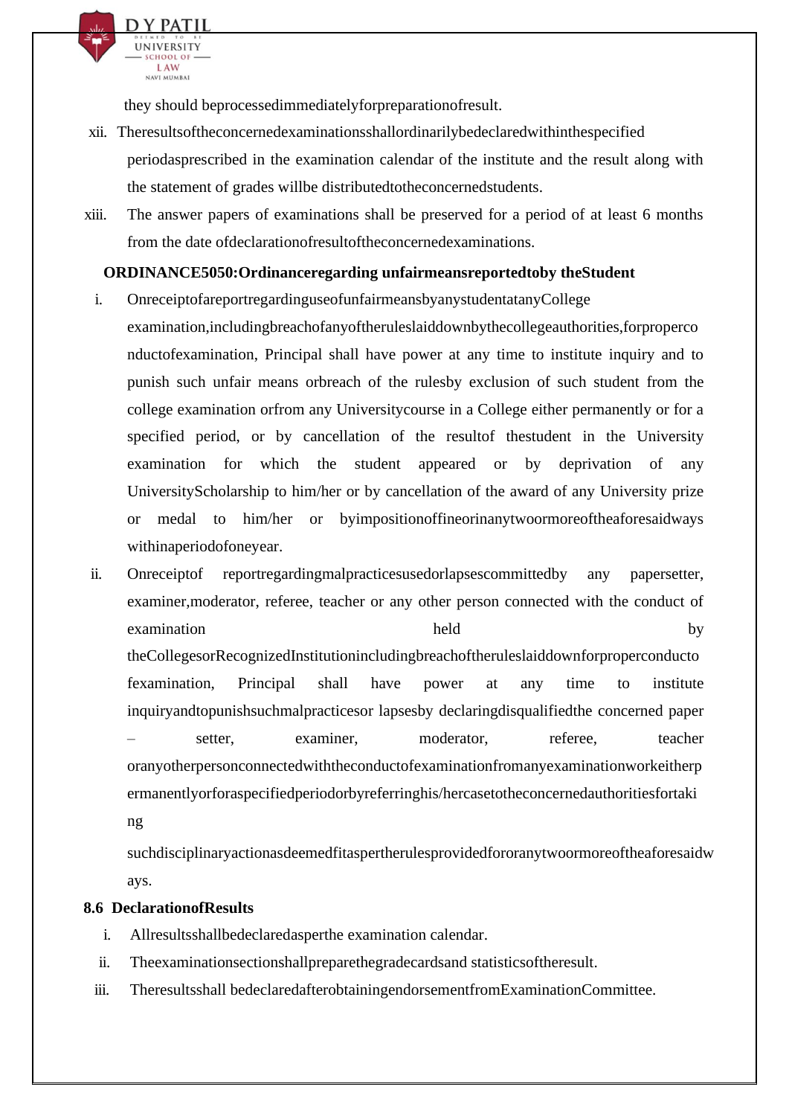they should beprocessedimmediatelyforpreparationofresult.

D Y PATII **UNIVERSITY** CHOOL O LAW NAVI MIJMRAJ

- xii. Theresultsoftheconcernedexaminationsshallordinarilybedeclaredwithinthespecified periodasprescribed in the examination calendar of the institute and the result along with the statement of grades willbe distributedtotheconcernedstudents.
- xiii. The answer papers of examinations shall be preserved for a period of at least 6 months from the date ofdeclarationofresultoftheconcernedexaminations.

#### **ORDINANCE5050:Ordinanceregarding unfairmeansreportedtoby theStudent**

- i. OnreceiptofareportregardinguseofunfairmeansbyanystudentatanyCollege
	- examination,includingbreachofanyoftheruleslaiddownbythecollegeauthorities,forproperco nductofexamination, Principal shall have power at any time to institute inquiry and to punish such unfair means orbreach of the rulesby exclusion of such student from the college examination orfrom any Universitycourse in a College either permanently or for a specified period, or by cancellation of the resultof thestudent in the University examination for which the student appeared or by deprivation of any UniversityScholarship to him/her or by cancellation of the award of any University prize or medal to him/her or byimpositionoffineorinanytwoormoreoftheaforesaidways withinaperiodofoneyear.
- ii. Onreceiptof reportregardingmalpracticesusedorlapsescommittedby any papersetter, examiner,moderator, referee, teacher or any other person connected with the conduct of examination held by theCollegesorRecognizedInstitutionincludingbreachoftheruleslaiddownforproperconducto fexamination, Principal shall have power at any time to institute inquiryandtopunishsuchmalpracticesor lapsesby declaringdisqualifiedthe concerned paper – setter, examiner, moderator, referee, teacher oranyotherpersonconnectedwiththeconductofexaminationfromanyexaminationworkeitherp ermanentlyorforaspecifiedperiodorbyreferringhis/hercasetotheconcernedauthoritiesfortaki ng

suchdisciplinaryactionasdeemedfitaspertherulesprovidedfororanytwoormoreoftheaforesaidw ays.

#### **8.6 DeclarationofResults**

- i. Allresultsshallbedeclaredasperthe examination calendar.
- ii. Theexaminationsectionshallpreparethegradecardsand statisticsoftheresult.
- iii. Theresultsshall bedeclaredafterobtainingendorsementfromExaminationCommittee.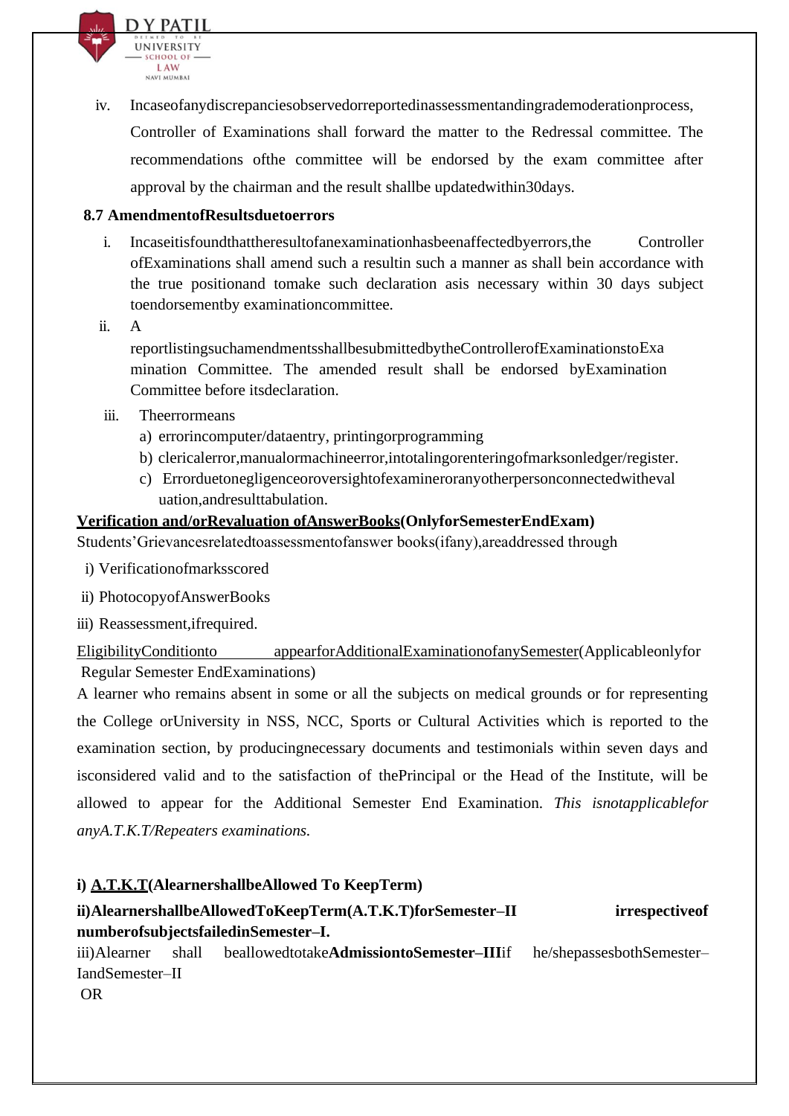

iv. Incaseofanydiscrepanciesobservedorreportedinassessmentandingrademoderationprocess, Controller of Examinations shall forward the matter to the Redressal committee. The recommendations ofthe committee will be endorsed by the exam committee after approval by the chairman and the result shallbe updatedwithin30days.

#### **8.7 AmendmentofResultsduetoerrors**

- i. Incaseitisfoundthattheresultofanexaminationhasbeenaffectedbyerrors,the Controller ofExaminations shall amend such a resultin such a manner as shall bein accordance with the true positionand tomake such declaration asis necessary within 30 days subject toendorsementby examinationcommittee.
- ii. A

reportlistingsuchamendmentsshallbesubmittedbytheControllerofExaminationstoExa mination Committee. The amended result shall be endorsed byExamination Committee before itsdeclaration.

- iii. Theerrormeans
	- a) errorincomputer/dataentry, printingorprogramming
	- b) clericalerror,manualormachineerror,intotalingorenteringofmarksonledger/register.
	- c) Errorduetonegligenceoroversightofexamineroranyotherpersonconnectedwitheval uation,andresulttabulation.

#### **Verification and/orRevaluation ofAnswerBooks(OnlyforSemesterEndExam)**

Students'Grievancesrelatedtoassessmentofanswer books(ifany),areaddressed through

- i) Verificationofmarksscored
- ii) PhotocopyofAnswerBooks
- iii) Reassessment,ifrequired.

EligibilityConditionto appearforAdditionalExaminationofanySemester(Applicableonlyfor Regular Semester EndExaminations)

A learner who remains absent in some or all the subjects on medical grounds or for representing the College orUniversity in NSS, NCC, Sports or Cultural Activities which is reported to the examination section, by producingnecessary documents and testimonials within seven days and isconsidered valid and to the satisfaction of thePrincipal or the Head of the Institute, will be allowed to appear for the Additional Semester End Examination. *This isnotapplicablefor anyA.T.K.T/Repeaters examinations.*

#### **i) A.T.K.T(AlearnershallbeAllowed To KeepTerm)**

#### **ii)AlearnershallbeAllowedToKeepTerm(A.T.K.T)forSemester–II irrespectiveof numberofsubjectsfailedinSemester–I.**

iii)Alearner shall beallowedtotake**AdmissiontoSemester–III**if he/shepassesbothSemester– IandSemester–II OR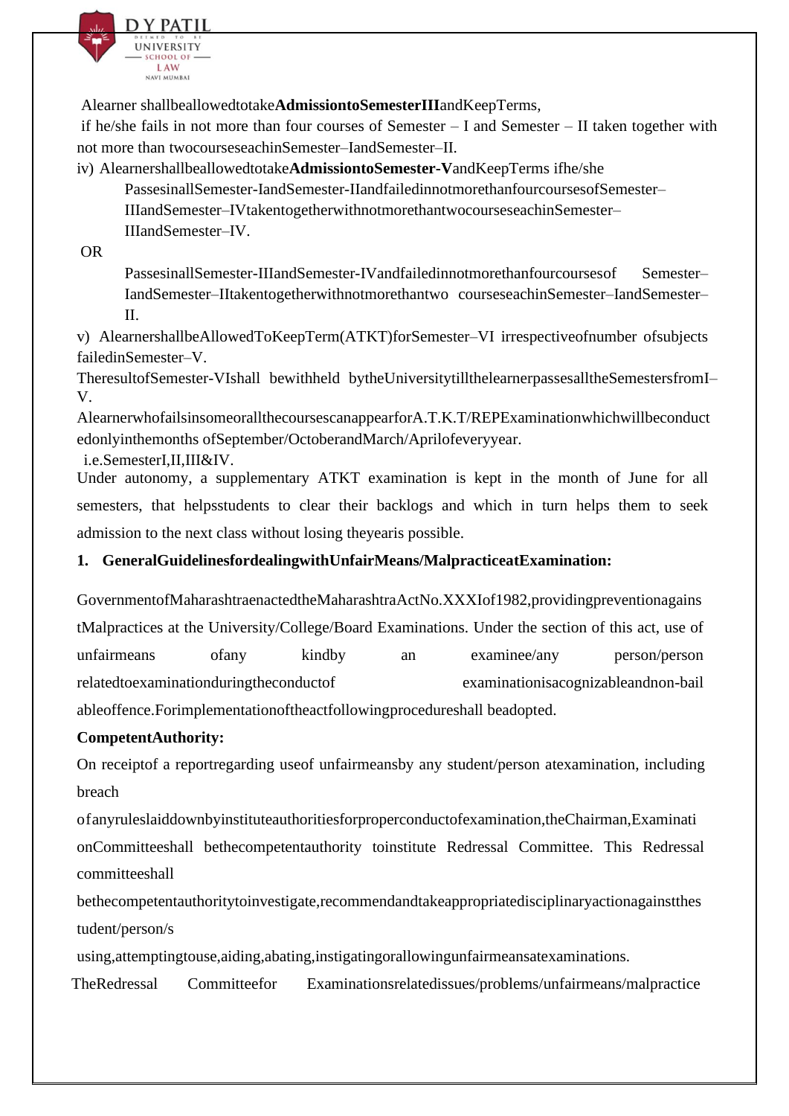

Alearner shallbeallowedtotake**AdmissiontoSemesterIII**andKeepTerms,

if he/she fails in not more than four courses of Semester – I and Semester – II taken together with not more than twocourseseachinSemester–IandSemester–II.

iv) Alearnershallbeallowedtotake**AdmissiontoSemester-V**andKeepTerms ifhe/she

PassesinallSemester-IandSemester-IIandfailedinnotmorethanfourcoursesofSemester–

IIIandSemester–IVtakentogetherwithnotmorethantwocourseseachinSemester–

IIIandSemester–IV.

OR

PassesinallSemester-IIIandSemester-IVandfailedinnotmorethanfourcoursesof Semester– IandSemester–IItakentogetherwithnotmorethantwo courseseachinSemester–IandSemester– II.

v) AlearnershallbeAllowedToKeepTerm(ATKT)forSemester–VI irrespectiveofnumber ofsubjects failedinSemester–V.

TheresultofSemester-VIshall bewithheld bytheUniversitytillthelearnerpassesalltheSemestersfromI– V.

AlearnerwhofailsinsomeorallthecoursescanappearforA.T.K.T/REPExaminationwhichwillbeconduct edonlyinthemonths ofSeptember/OctoberandMarch/Aprilofeveryyear.

i.e.SemesterI,II,III&IV.

Under autonomy, a supplementary ATKT examination is kept in the month of June for all semesters, that helpsstudents to clear their backlogs and which in turn helps them to seek admission to the next class without losing theyearis possible.

## **1. GeneralGuidelinesfordealingwithUnfairMeans/MalpracticeatExamination:**

GovernmentofMaharashtraenactedtheMaharashtraActNo.XXXIof1982,providingpreventionagains tMalpractices at the University/College/Board Examinations. Under the section of this act, use of unfairmeans ofany kindby an examinee/any person/person relatedtoexaminationduringtheconductof examinationisacognizableandnon-bail ableoffence.Forimplementationoftheactfollowingprocedureshall beadopted.

#### **CompetentAuthority:**

On receiptof a reportregarding useof unfairmeansby any student/person atexamination, including breach

ofanyruleslaiddownbyinstituteauthoritiesforproperconductofexamination,theChairman,Examinati onCommitteeshall bethecompetentauthority toinstitute Redressal Committee. This Redressal committeeshall

bethecompetentauthoritytoinvestigate,recommendandtakeappropriatedisciplinaryactionagainstthes tudent/person/s

using,attemptingtouse,aiding,abating,instigatingorallowingunfairmeansatexaminations.

TheRedressal Committeefor Examinationsrelatedissues/problems/unfairmeans/malpractice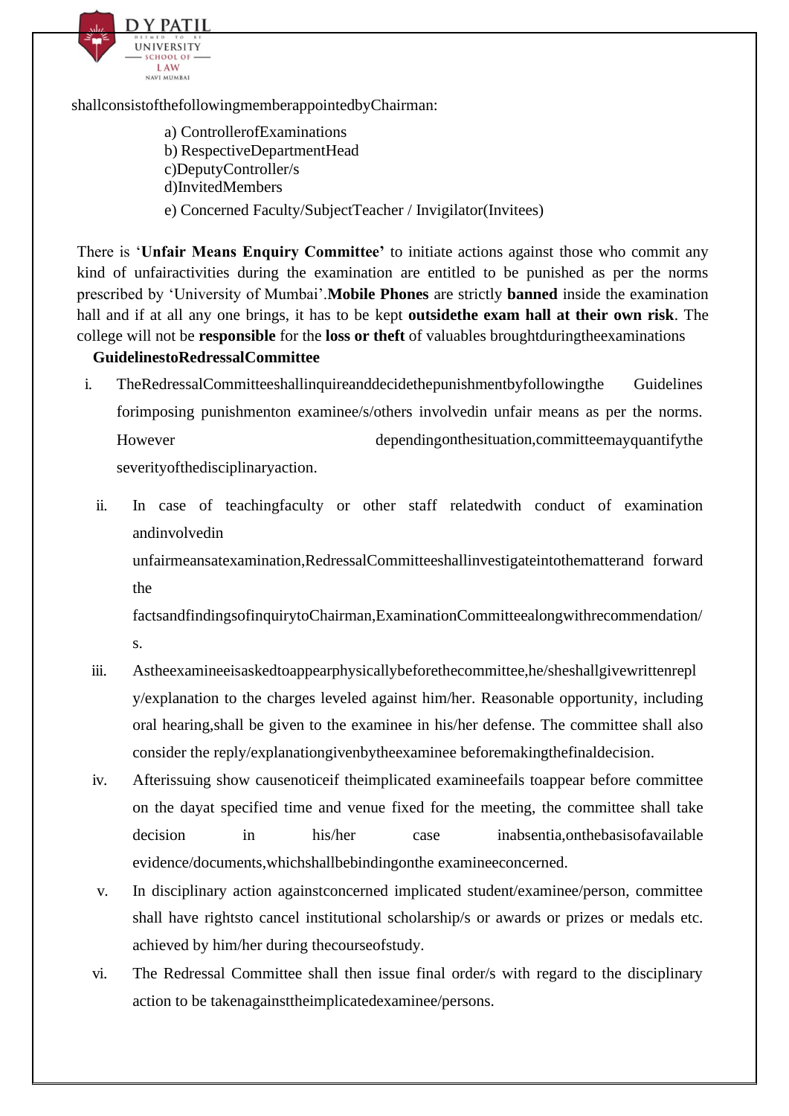

shallconsistofthefollowingmemberappointedbyChairman:

a) ControllerofExaminations b) RespectiveDepartmentHead c)DeputyController/s d)InvitedMembers e) Concerned Faculty/SubjectTeacher / Invigilator(Invitees)

There is '**Unfair Means Enquiry Committee'** to initiate actions against those who commit any kind of unfairactivities during the examination are entitled to be punished as per the norms prescribed by 'University of Mumbai'.**Mobile Phones** are strictly **banned** inside the examination hall and if at all any one brings, it has to be kept **outsidethe exam hall at their own risk**. The college will not be **responsible** for the **loss or theft** of valuables broughtduringtheexaminations

#### **GuidelinestoRedressalCommittee**

- i. TheRedressalCommitteeshallinquireanddecidethepunishmentbyfollowingthe Guidelines forimposing punishmenton examinee/s/others involvedin unfair means as per the norms. However dependingonthesituation,committeemayquantifythe severityofthedisciplinaryaction.
	- ii. In case of teachingfaculty or other staff relatedwith conduct of examination andinvolvedin

unfairmeansatexamination,RedressalCommitteeshallinvestigateintothematterand forward the

factsandfindingsofinquirytoChairman,ExaminationCommitteealongwithrecommendation/ s.

- iii. Astheexamineeisaskedtoappearphysicallybeforethecommittee,he/sheshallgivewrittenrepl y/explanation to the charges leveled against him/her. Reasonable opportunity, including oral hearing,shall be given to the examinee in his/her defense. The committee shall also consider the reply/explanationgivenbytheexaminee beforemakingthefinaldecision.
- iv. Afterissuing show causenoticeif theimplicated examineefails toappear before committee on the dayat specified time and venue fixed for the meeting, the committee shall take decision in his/her case inabsentia,onthebasisofavailable evidence/documents,whichshallbebindingonthe examineeconcerned.
- v. In disciplinary action againstconcerned implicated student/examinee/person, committee shall have rightsto cancel institutional scholarship/s or awards or prizes or medals etc. achieved by him/her during thecourseofstudy.
- vi. The Redressal Committee shall then issue final order/s with regard to the disciplinary action to be takenagainsttheimplicatedexaminee/persons.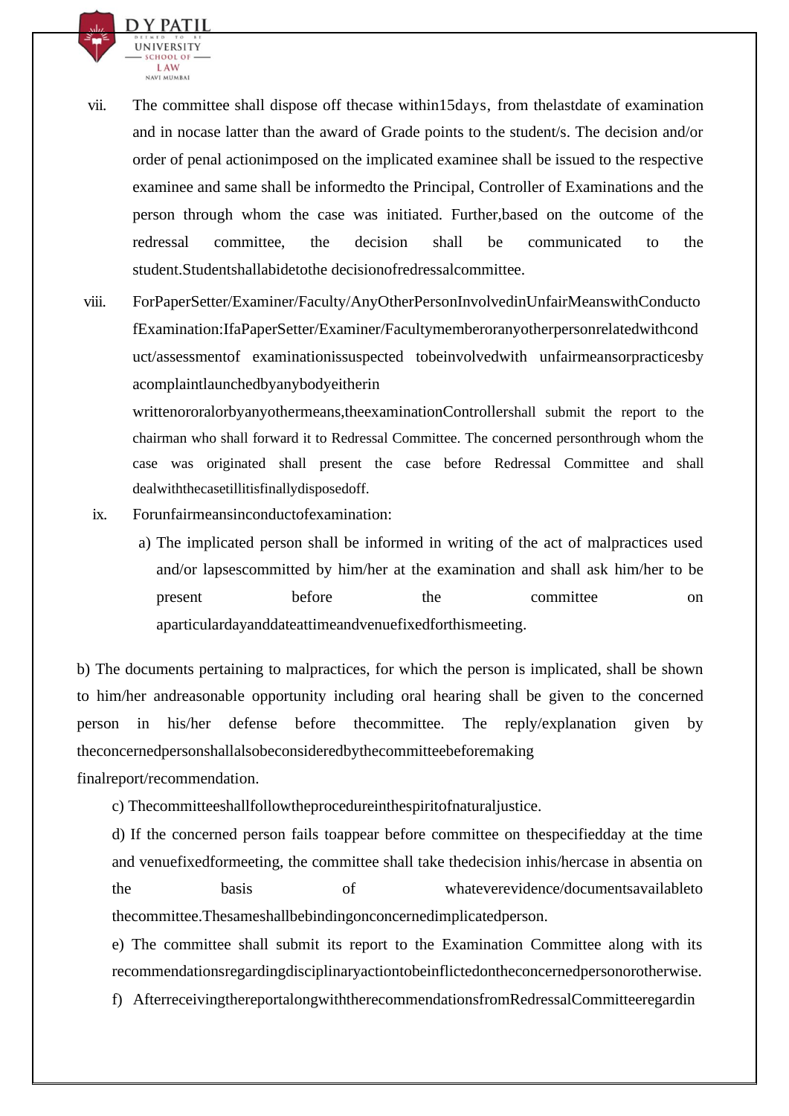

- vii. The committee shall dispose off thecase within15days, from thelastdate of examination and in nocase latter than the award of Grade points to the student/s. The decision and/or order of penal actionimposed on the implicated examinee shall be issued to the respective examinee and same shall be informedto the Principal, Controller of Examinations and the person through whom the case was initiated. Further,based on the outcome of the redressal committee, the decision shall be communicated to the student.Studentshallabidetothe decisionofredressalcommittee.
- viii. ForPaperSetter/Examiner/Faculty/AnyOtherPersonInvolvedinUnfairMeanswithConducto fExamination:IfaPaperSetter/Examiner/Facultymemberoranyotherpersonrelatedwithcond uct/assessmentof examinationissuspected tobeinvolvedwith unfairmeansorpracticesby acomplaintlaunchedbyanybodyeitherin

writtenororalorbyanyothermeans,theexaminationControllershall submit the report to the chairman who shall forward it to Redressal Committee. The concerned personthrough whom the case was originated shall present the case before Redressal Committee and shall dealwiththecasetillitisfinallydisposedoff.

- ix. Forunfairmeansinconductofexamination:
	- a) The implicated person shall be informed in writing of the act of malpractices used and/or lapsescommitted by him/her at the examination and shall ask him/her to be present before the committee on aparticulardayanddateattimeandvenuefixedforthismeeting.

b) The documents pertaining to malpractices, for which the person is implicated, shall be shown to him/her andreasonable opportunity including oral hearing shall be given to the concerned person in his/her defense before thecommittee. The reply/explanation given by theconcernedpersonshallalsobeconsideredbythecommitteebeforemaking

finalreport/recommendation.

c) Thecommitteeshallfollowtheprocedureinthespiritofnaturaljustice.

d) If the concerned person fails toappear before committee on thespecifiedday at the time and venuefixedformeeting, the committee shall take thedecision inhis/hercase in absentia on the basis of whateverevidence/documentsavailableto thecommittee.Thesameshallbebindingonconcernedimplicatedperson.

e) The committee shall submit its report to the Examination Committee along with its recommendationsregardingdisciplinaryactiontobeinflictedontheconcernedpersonorotherwise.

f) AfterreceivingthereportalongwiththerecommendationsfromRedressalCommitteeregardin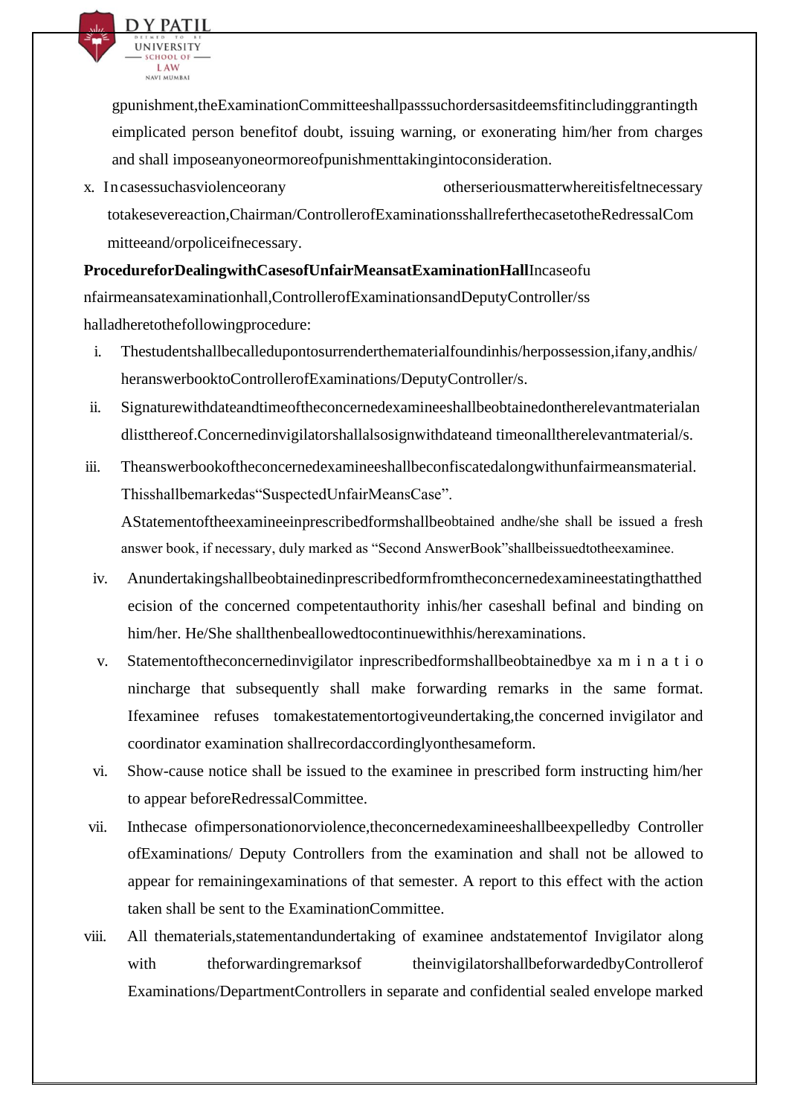

gpunishment,theExaminationCommitteeshallpasssuchordersasitdeemsfitincludinggrantingth eimplicated person benefitof doubt, issuing warning, or exonerating him/her from charges and shall imposeanyoneormoreofpunishmenttakingintoconsideration.

x. Incasessuchasviolenceorany otherseriousmatterwhereitisfeltnecessary totakesevereaction,Chairman/ControllerofExaminationsshallreferthecasetotheRedressalCom mitteeand/orpoliceifnecessary.

**ProcedureforDealingwithCasesofUnfairMeansatExaminationHall**Incaseofu nfairmeansatexaminationhall,ControllerofExaminationsandDeputyController/ss halladheretothefollowingprocedure:

- i. Thestudentshallbecalledupontosurrenderthematerialfoundinhis/herpossession,ifany,andhis/ heranswerbooktoControllerofExaminations/DeputyController/s.
- ii. Signaturewithdateandtimeoftheconcernedexamineeshallbeobtainedontherelevantmaterialan dlistthereof.Concernedinvigilatorshallalsosignwithdateand timeonalltherelevantmaterial/s.
- iii. Theanswerbookoftheconcernedexamineeshallbeconfiscatedalongwithunfairmeansmaterial. Thisshallbemarkedas"SuspectedUnfairMeansCase". AStatementoftheexamineeinprescribedformshallbeobtained andhe/she shall be issued a fresh answer book, if necessary, duly marked as "Second AnswerBook"shallbeissuedtotheexaminee.
- iv. Anundertakingshallbeobtainedinprescribedformfromtheconcernedexamineestatingthatthed ecision of the concerned competentauthority inhis/her caseshall befinal and binding on him/her. He/She shallthenbeallowedtocontinuewithhis/herexaminations.
- v. Statementoftheconcernedinvigilator inprescribedformshallbeobtainedbye xa m i n a t i o nincharge that subsequently shall make forwarding remarks in the same format. Ifexaminee refuses tomakestatementortogiveundertaking,the concerned invigilator and coordinator examination shallrecordaccordinglyonthesameform.
- vi. Show-cause notice shall be issued to the examinee in prescribed form instructing him/her to appear beforeRedressalCommittee.
- vii. Inthecase ofimpersonationorviolence,theconcernedexamineeshallbeexpelledby Controller ofExaminations/ Deputy Controllers from the examination and shall not be allowed to appear for remainingexaminations of that semester. A report to this effect with the action taken shall be sent to the ExaminationCommittee.
- viii. All thematerials,statementandundertaking of examinee andstatementof Invigilator along with theforwardingremarksof theinvigilatorshallbeforwardedbyControllerof Examinations/DepartmentControllers in separate and confidential sealed envelope marked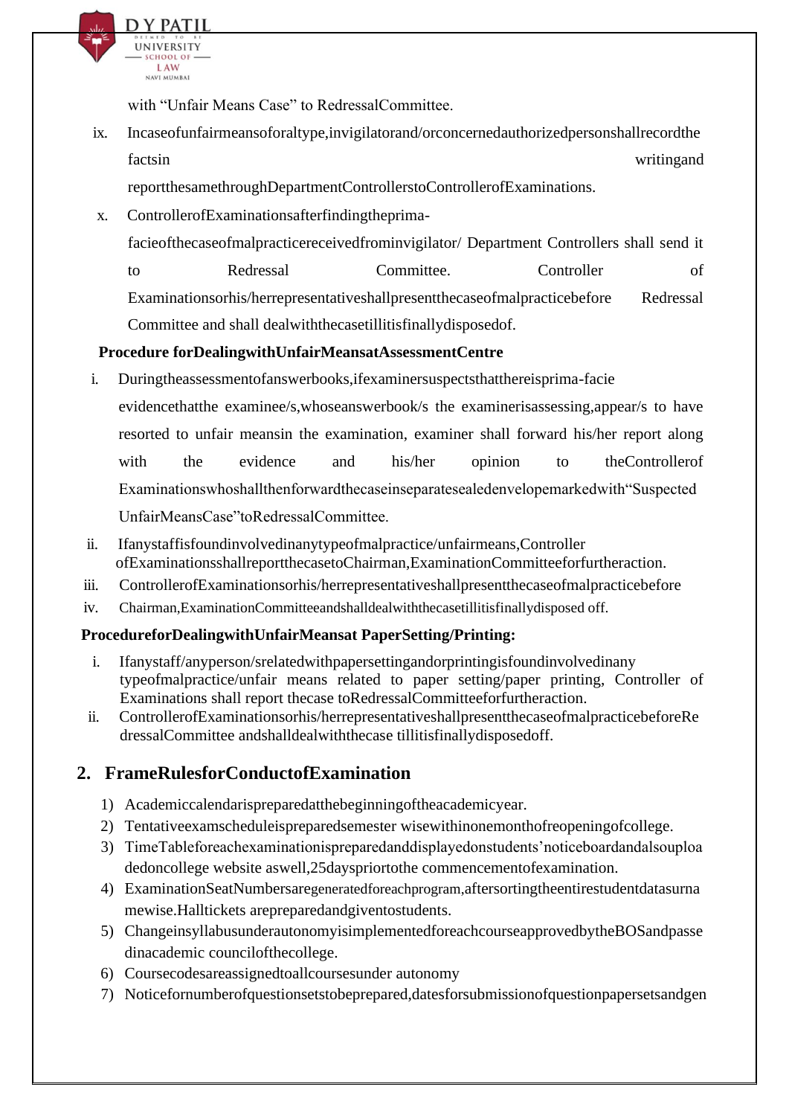

with "Unfair Means Case" to RedressalCommittee.

ix. Incaseofunfairmeansoforaltype,invigilatorand/orconcernedauthorizedpersonshallrecordthe factsin writing and

reportthesamethroughDepartmentControllerstoControllerofExaminations.

x. ControllerofExaminationsafterfindingtheprima-

facieofthecaseofmalpracticereceivedfrominvigilator/ Department Controllers shall send it

to Redressal Committee. Controller of Examinationsorhis/herrepresentativeshallpresentthecaseofmalpracticebefore Redressal Committee and shall dealwiththecasetillitisfinallydisposedof.

#### **Procedure forDealingwithUnfairMeansatAssessmentCentre**

- i. Duringtheassessmentofanswerbooks,ifexaminersuspectsthatthereisprima-facie evidencethatthe examinee/s,whoseanswerbook/s the examinerisassessing,appear/s to have resorted to unfair meansin the examination, examiner shall forward his/her report along with the evidence and his/her opinion to theControllerof Examinationswhoshallthenforwardthecaseinseparatesealedenvelopemarkedwith"Suspected UnfairMeansCase"toRedressalCommittee.
- ii. Ifanystaffisfoundinvolvedinanytypeofmalpractice/unfairmeans,Controller ofExaminationsshallreportthecasetoChairman,ExaminationCommitteeforfurtheraction.
- iii. ControllerofExaminationsorhis/herrepresentativeshallpresentthecaseofmalpracticebefore
- iv. Chairman,ExaminationCommitteeandshalldealwiththecasetillitisfinallydisposed off.

#### **ProcedureforDealingwithUnfairMeansat PaperSetting/Printing:**

- i. Ifanystaff/anyperson/srelatedwithpapersettingandorprintingisfoundinvolvedinany typeofmalpractice/unfair means related to paper setting/paper printing, Controller of Examinations shall report thecase toRedressalCommitteeforfurtheraction.
- ii. ControllerofExaminationsorhis/herrepresentativeshallpresentthecaseofmalpracticebeforeRe dressalCommittee andshalldealwiththecase tillitisfinallydisposedoff.

## **2. FrameRulesforConductofExamination**

- 1) Academiccalendarispreparedatthebeginningoftheacademicyear.
- 2) Tentativeexamscheduleispreparedsemester wisewithinonemonthofreopeningofcollege.
- 3) TimeTableforeachexaminationispreparedanddisplayedonstudents'noticeboardandalsouploa dedoncollege website aswell,25dayspriortothe commencementofexamination.
- 4) ExaminationSeatNumbersaregeneratedforeachprogram,aftersortingtheentirestudentdatasurna mewise.Halltickets arepreparedandgiventostudents.
- 5) ChangeinsyllabusunderautonomyisimplementedforeachcourseapprovedbytheBOSandpasse dinacademic councilofthecollege.
- 6) Coursecodesareassignedtoallcoursesunder autonomy
- 7) Noticefornumberofquestionsetstobeprepared,datesforsubmissionofquestionpapersetsandgen